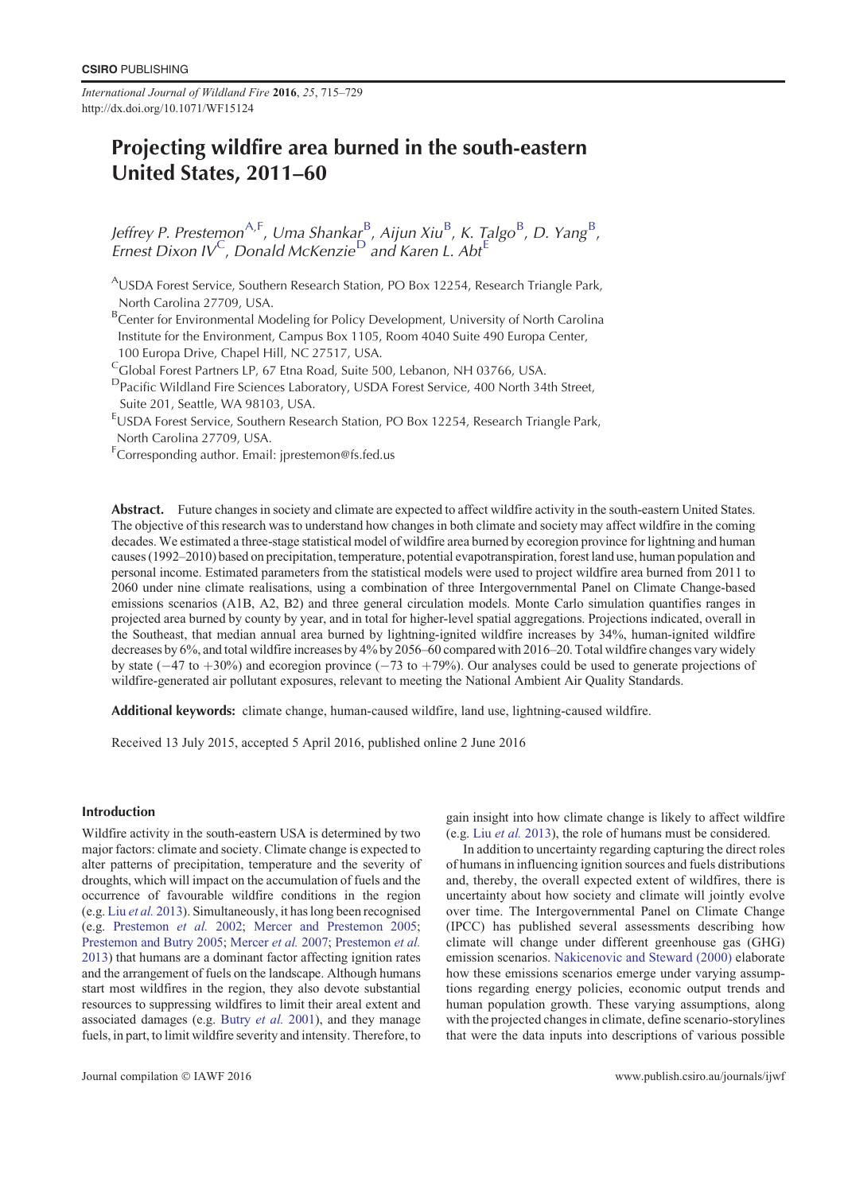*International Journal of Wildland Fire* **2016**, *25*, 715–729 http://dx.doi.org/10.1071/WF15124

## Projecting wildfire area burned in the south-eastern United States, 2011–60

Jeffrey P. Prestemon<sup>A,F</sup>, Uma Shankarg<sup>B</sup>, Aijun Xiu<sup>B</sup>, K. Talgo<sup>B</sup>, D. Yang<sup>B</sup>, Ernest Dixon IV  $^{\mathsf{C}}$ , Donald McKenzie $^{\mathsf{D}}$  and Karen L. Abt $^{\mathsf{E}}$ 

<sup>A</sup>USDA Forest Service, Southern Research Station, PO Box 12254, Research Triangle Park, North Carolina 27709, USA.

<sup>B</sup>Center for Environmental Modeling for Policy Development, University of North Carolina Institute for the Environment, Campus Box 1105, Room 4040 Suite 490 Europa Center, 100 Europa Drive, Chapel Hill, NC 27517, USA.

<sup>C</sup>Global Forest Partners LP, 67 Etna Road, Suite 500, Lebanon, NH 03766, USA.

<sup>D</sup>Pacific Wildland Fire Sciences Laboratory, USDA Forest Service, 400 North 34th Street, Suite 201, Seattle, WA 98103, USA.

<sup>E</sup>USDA Forest Service, Southern Research Station, PO Box 12254, Research Triangle Park, North Carolina 27709, USA.

F Corresponding author. Email: jprestemon@fs.fed.us

Abstract. Future changes in society and climate are expected to affect wildfire activity in the south-eastern United States. The objective of this research was to understand how changes in both climate and society may affect wildfire in the coming decades. We estimated a three-stage statistical model of wildfire area burned by ecoregion province for lightning and human causes (1992–2010) based on precipitation, temperature, potential evapotranspiration, forest land use, human population and personal income. Estimated parameters from the statistical models were used to project wildfire area burned from 2011 to 2060 under nine climate realisations, using a combination of three Intergovernmental Panel on Climate Change-based emissions scenarios (A1B, A2, B2) and three general circulation models. Monte Carlo simulation quantifies ranges in projected area burned by county by year, and in total for higher-level spatial aggregations. Projections indicated, overall in the Southeast, that median annual area burned by lightning-ignited wildfire increases by 34%, human-ignited wildfire decreases by 6%, and total wildfire increases by 4% by 2056–60 compared with 2016–20. Total wildfire changes vary widely by state ( $-47$  to  $+30\%$ ) and ecoregion province ( $-73$  to  $+79\%$ ). Our analyses could be used to generate projections of wildfire-generated air pollutant exposures, relevant to meeting the National Ambient Air Quality Standards.

Additional keywords: climate change, human-caused wildfire, land use, lightning-caused wildfire.

Received 13 July 2015, accepted 5 April 2016, published online 2 June 2016

## Introduction

Wildfire activity in the south-eastern USA is determined by two major factors: climate and society. Climate change is expected to alter patterns of precipitation, temperature and the severity of droughts, which will impact on the accumulation of fuels and the occurrence of favourable wildfire conditions in the region (e.g. Liu *et al.* [2013\)](#page-14-0). Simultaneously, it has long been recognised (e.g. [Prestemon](#page-14-0) *et al.* 2002; [Mercer and Prestemon 2005](#page-14-0); [Prestemon and Butry 2005;](#page-14-0) [Mercer](#page-14-0) *et al.* 2007; [Prestemon](#page-14-0) *et al.* [2013](#page-14-0)) that humans are a dominant factor affecting ignition rates and the arrangement of fuels on the landscape. Although humans start most wildfires in the region, they also devote substantial resources to suppressing wildfires to limit their areal extent and associated damages (e.g. [Butry](#page-13-0) *et al.* 2001), and they manage fuels, in part, to limit wildfire severity and intensity. Therefore, to

gain insight into how climate change is likely to affect wildfire (e.g. Liu *[et al.](#page-14-0)* 2013), the role of humans must be considered.

In addition to uncertainty regarding capturing the direct roles of humans in influencing ignition sources and fuels distributions and, thereby, the overall expected extent of wildfires, there is uncertainty about how society and climate will jointly evolve over time. The Intergovernmental Panel on Climate Change (IPCC) has published several assessments describing how climate will change under different greenhouse gas (GHG) emission scenarios. [Nakicenovic and Steward \(2000\)](#page-14-0) elaborate how these emissions scenarios emerge under varying assumptions regarding energy policies, economic output trends and human population growth. These varying assumptions, along with the projected changes in climate, define scenario-storylines that were the data inputs into descriptions of various possible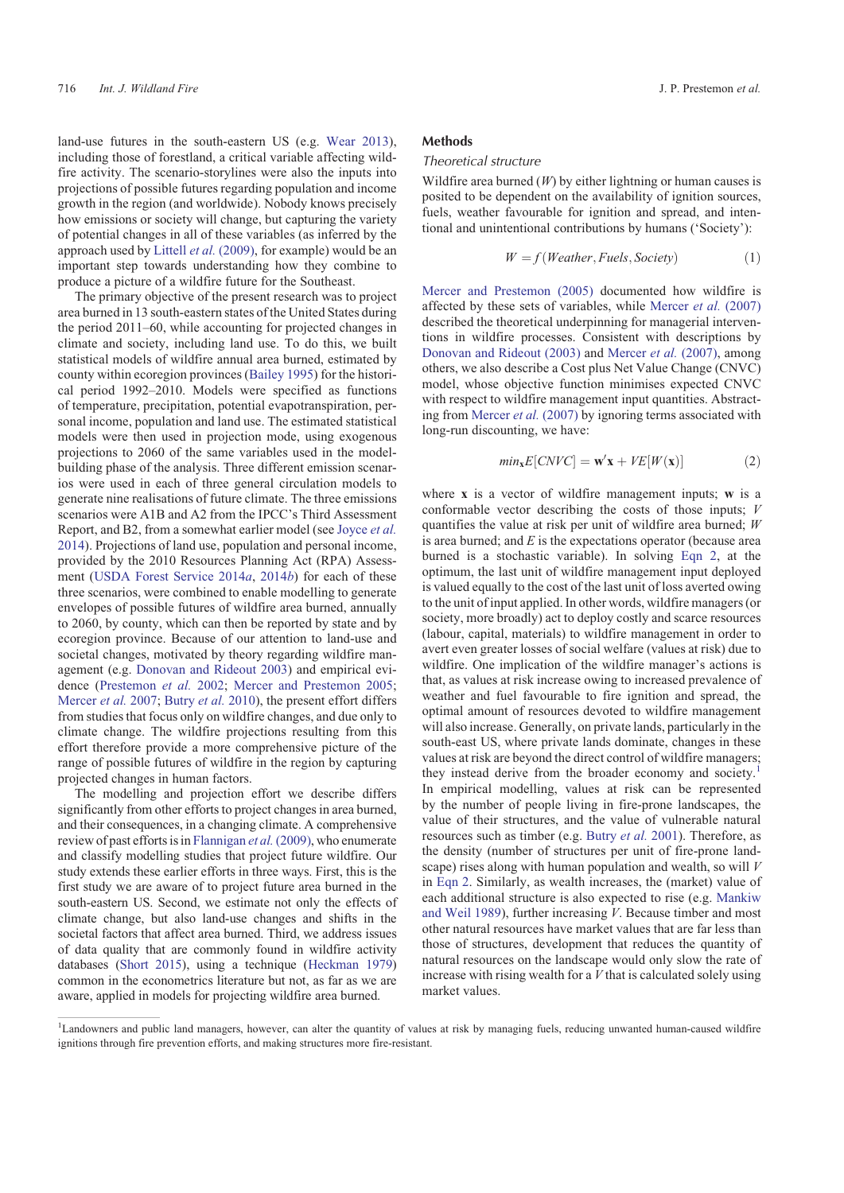<span id="page-1-0"></span>land-use futures in the south-eastern US (e.g. [Wear 2013](#page-14-0)), including those of forestland, a critical variable affecting wildfire activity. The scenario-storylines were also the inputs into projections of possible futures regarding population and income growth in the region (and worldwide). Nobody knows precisely how emissions or society will change, but capturing the variety of potential changes in all of these variables (as inferred by the approach used by Littell *et al.* [\(2009\),](#page-14-0) for example) would be an important step towards understanding how they combine to produce a picture of a wildfire future for the Southeast.

The primary objective of the present research was to project area burned in 13 south-eastern states of the United States during the period 2011–60, while accounting for projected changes in climate and society, including land use. To do this, we built statistical models of wildfire annual area burned, estimated by county within ecoregion provinces ([Bailey 1995](#page-13-0)) for the historical period 1992–2010. Models were specified as functions of temperature, precipitation, potential evapotranspiration, personal income, population and land use. The estimated statistical models were then used in projection mode, using exogenous projections to 2060 of the same variables used in the modelbuilding phase of the analysis. Three different emission scenarios were used in each of three general circulation models to generate nine realisations of future climate. The three emissions scenarios were A1B and A2 from the IPCC's Third Assessment Report, and B2, from a somewhat earlier model (see [Joyce](#page-14-0) *et al.* [2014\)](#page-14-0). Projections of land use, population and personal income, provided by the 2010 Resources Planning Act (RPA) Assessment [\(USDA Forest Service 2014](#page-14-0)*a*, [2014](#page-14-0)*b*) for each of these three scenarios, were combined to enable modelling to generate envelopes of possible futures of wildfire area burned, annually to 2060, by county, which can then be reported by state and by ecoregion province. Because of our attention to land-use and societal changes, motivated by theory regarding wildfire management (e.g. [Donovan and Rideout 2003\)](#page-14-0) and empirical evidence [\(Prestemon](#page-14-0) *et al.* 2002; [Mercer and Prestemon 2005](#page-14-0); [Mercer](#page-14-0) *et al.* 2007; [Butry](#page-13-0) *et al.* 2010), the present effort differs from studies that focus only on wildfire changes, and due only to climate change. The wildfire projections resulting from this effort therefore provide a more comprehensive picture of the range of possible futures of wildfire in the region by capturing projected changes in human factors.

The modelling and projection effort we describe differs significantly from other efforts to project changes in area burned, and their consequences, in a changing climate. A comprehensive review of past efforts is in [Flannigan](#page-14-0) *et al.*(2009), who enumerate and classify modelling studies that project future wildfire. Our study extends these earlier efforts in three ways. First, this is the first study we are aware of to project future area burned in the south-eastern US. Second, we estimate not only the effects of climate change, but also land-use changes and shifts in the societal factors that affect area burned. Third, we address issues of data quality that are commonly found in wildfire activity databases ([Short 2015](#page-14-0)), using a technique [\(Heckman 1979\)](#page-14-0) common in the econometrics literature but not, as far as we are aware, applied in models for projecting wildfire area burned.

#### Methods

## Theoretical structure

Wildfire area burned (*W*) by either lightning or human causes is posited to be dependent on the availability of ignition sources, fuels, weather favourable for ignition and spread, and intentional and unintentional contributions by humans ('Society'):

$$
W = f(Weather, Fuels, Society)
$$
 (1)

[Mercer and Prestemon \(2005\)](#page-14-0) documented how wildfire is affected by these sets of variables, while [Mercer](#page-14-0) *et al.* (2007) described the theoretical underpinning for managerial interventions in wildfire processes. Consistent with descriptions by [Donovan and Rideout \(2003\)](#page-14-0) and [Mercer](#page-14-0) *et al.* (2007), among others, we also describe a Cost plus Net Value Change (CNVC) model, whose objective function minimises expected CNVC with respect to wildfire management input quantities. Abstracting from [Mercer](#page-14-0) *et al.* (2007) by ignoring terms associated with long-run discounting, we have:

$$
min_{\mathbf{x}} E[CNVC] = \mathbf{w}'\mathbf{x} + VE[W(\mathbf{x})]
$$
 (2)

where **x** is a vector of wildfire management inputs; **w** is a conformable vector describing the costs of those inputs; *V* quantifies the value at risk per unit of wildfire area burned; *W* is area burned; and *E* is the expectations operator (because area burned is a stochastic variable). In solving Eqn 2, at the optimum, the last unit of wildfire management input deployed is valued equally to the cost of the last unit of loss averted owing to the unit of input applied. In other words, wildfire managers (or society, more broadly) act to deploy costly and scarce resources (labour, capital, materials) to wildfire management in order to avert even greater losses of social welfare (values at risk) due to wildfire. One implication of the wildfire manager's actions is that, as values at risk increase owing to increased prevalence of weather and fuel favourable to fire ignition and spread, the optimal amount of resources devoted to wildfire management will also increase. Generally, on private lands, particularly in the south-east US, where private lands dominate, changes in these values at risk are beyond the direct control of wildfire managers; they instead derive from the broader economy and society.<sup>1</sup> In empirical modelling, values at risk can be represented by the number of people living in fire-prone landscapes, the value of their structures, and the value of vulnerable natural resources such as timber (e.g. [Butry](#page-13-0) *et al.* 2001). Therefore, as the density (number of structures per unit of fire-prone landscape) rises along with human population and wealth, so will *V* in Eqn 2. Similarly, as wealth increases, the (market) value of each additional structure is also expected to rise (e.g. [Mankiw](#page-14-0) [and Weil 1989\)](#page-14-0), further increasing *V*. Because timber and most other natural resources have market values that are far less than those of structures, development that reduces the quantity of natural resources on the landscape would only slow the rate of increase with rising wealth for a *V* that is calculated solely using market values.

<sup>&</sup>lt;sup>1</sup>Landowners and public land managers, however, can alter the quantity of values at risk by managing fuels, reducing unwanted human-caused wildfire ignitions through fire prevention efforts, and making structures more fire-resistant.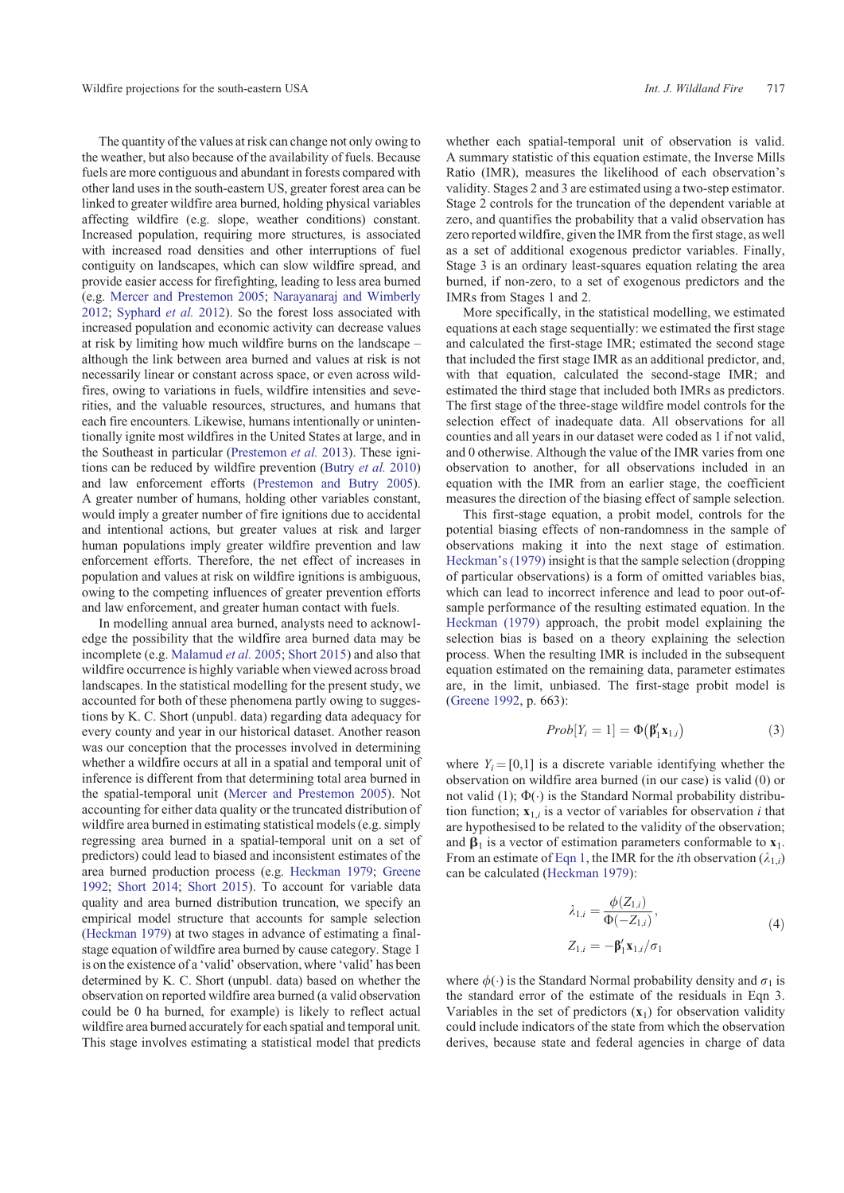<span id="page-2-0"></span>The quantity of the values at risk can change not only owing to the weather, but also because of the availability of fuels. Because fuels are more contiguous and abundant in forests compared with other land uses in the south-eastern US, greater forest area can be linked to greater wildfire area burned, holding physical variables affecting wildfire (e.g. slope, weather conditions) constant. Increased population, requiring more structures, is associated with increased road densities and other interruptions of fuel contiguity on landscapes, which can slow wildfire spread, and provide easier access for firefighting, leading to less area burned (e.g. [Mercer and Prestemon 2005;](#page-14-0) [Narayanaraj and Wimberly](#page-14-0) [2012](#page-14-0); [Syphard](#page-14-0) *et al.* 2012). So the forest loss associated with increased population and economic activity can decrease values at risk by limiting how much wildfire burns on the landscape – although the link between area burned and values at risk is not necessarily linear or constant across space, or even across wildfires, owing to variations in fuels, wildfire intensities and severities, and the valuable resources, structures, and humans that each fire encounters. Likewise, humans intentionally or unintentionally ignite most wildfires in the United States at large, and in the Southeast in particular [\(Prestemon](#page-14-0) *et al.* 2013). These ignitions can be reduced by wildfire prevention [\(Butry](#page-13-0) *et al.* 2010) and law enforcement efforts ([Prestemon and Butry 2005](#page-14-0)). A greater number of humans, holding other variables constant, would imply a greater number of fire ignitions due to accidental and intentional actions, but greater values at risk and larger human populations imply greater wildfire prevention and law enforcement efforts. Therefore, the net effect of increases in population and values at risk on wildfire ignitions is ambiguous, owing to the competing influences of greater prevention efforts and law enforcement, and greater human contact with fuels.

In modelling annual area burned, analysts need to acknowledge the possibility that the wildfire area burned data may be incomplete (e.g. [Malamud](#page-14-0) *et al.* 2005; [Short 2015\)](#page-14-0) and also that wildfire occurrence is highly variable when viewed across broad landscapes. In the statistical modelling for the present study, we accounted for both of these phenomena partly owing to suggestions by K. C. Short (unpubl. data) regarding data adequacy for every county and year in our historical dataset. Another reason was our conception that the processes involved in determining whether a wildfire occurs at all in a spatial and temporal unit of inference is different from that determining total area burned in the spatial-temporal unit [\(Mercer and Prestemon 2005](#page-14-0)). Not accounting for either data quality or the truncated distribution of wildfire area burned in estimating statistical models (e.g. simply regressing area burned in a spatial-temporal unit on a set of predictors) could lead to biased and inconsistent estimates of the area burned production process (e.g. [Heckman 1979](#page-14-0); [Greene](#page-14-0) [1992](#page-14-0); [Short 2014;](#page-14-0) [Short 2015](#page-14-0)). To account for variable data quality and area burned distribution truncation, we specify an empirical model structure that accounts for sample selection ([Heckman 1979\)](#page-14-0) at two stages in advance of estimating a finalstage equation of wildfire area burned by cause category. Stage 1 is on the existence of a 'valid' observation, where 'valid' has been determined by K. C. Short (unpubl. data) based on whether the observation on reported wildfire area burned (a valid observation could be 0 ha burned, for example) is likely to reflect actual wildfire area burned accurately for each spatial and temporal unit. This stage involves estimating a statistical model that predicts whether each spatial-temporal unit of observation is valid. A summary statistic of this equation estimate, the Inverse Mills Ratio (IMR), measures the likelihood of each observation's validity. Stages 2 and 3 are estimated using a two-step estimator. Stage 2 controls for the truncation of the dependent variable at zero, and quantifies the probability that a valid observation has zero reported wildfire, given the IMR from the first stage, as well as a set of additional exogenous predictor variables. Finally, Stage 3 is an ordinary least-squares equation relating the area burned, if non-zero, to a set of exogenous predictors and the IMRs from Stages 1 and 2.

More specifically, in the statistical modelling, we estimated equations at each stage sequentially: we estimated the first stage and calculated the first-stage IMR; estimated the second stage that included the first stage IMR as an additional predictor, and, with that equation, calculated the second-stage IMR; and estimated the third stage that included both IMRs as predictors. The first stage of the three-stage wildfire model controls for the selection effect of inadequate data. All observations for all counties and all years in our dataset were coded as 1 if not valid, and 0 otherwise. Although the value of the IMR varies from one observation to another, for all observations included in an equation with the IMR from an earlier stage, the coefficient measures the direction of the biasing effect of sample selection.

This first-stage equation, a probit model, controls for the potential biasing effects of non-randomness in the sample of observations making it into the next stage of estimation. [Heckman's \(1979\)](#page-14-0) insight is that the sample selection (dropping of particular observations) is a form of omitted variables bias, which can lead to incorrect inference and lead to poor out-ofsample performance of the resulting estimated equation. In the [Heckman \(1979\)](#page-14-0) approach, the probit model explaining the selection bias is based on a theory explaining the selection process. When the resulting IMR is included in the subsequent equation estimated on the remaining data, parameter estimates are, in the limit, unbiased. The first-stage probit model is ([Greene 1992,](#page-14-0) p. 663):

$$
Prob[Y_i = 1] = \Phi(\beta'_1 \mathbf{x}_{1,i})
$$
\n(3)

where  $Y_i = [0,1]$  is a discrete variable identifying whether the observation on wildfire area burned (in our case) is valid (0) or not valid (1);  $\Phi(\cdot)$  is the Standard Normal probability distribution function;  $\mathbf{x}_{1,i}$  is a vector of variables for observation *i* that are hypothesised to be related to the validity of the observation; and  $\beta_1$  is a vector of estimation parameters conformable to  $\mathbf{x}_1$ . From an estimate of [Eqn 1](#page-1-0), the IMR for the *i*th observation  $(\lambda_{1,i})$ can be calculated [\(Heckman 1979\)](#page-14-0):

$$
\lambda_{1,i} = \frac{\phi(Z_{1,i})}{\Phi(-Z_{1,i})},
$$
  
\n
$$
Z_{1,i} = -\beta'_1 \mathbf{x}_{1,i}/\sigma_1
$$
\n(4)

where  $\phi(\cdot)$  is the Standard Normal probability density and  $\sigma_1$  is the standard error of the estimate of the residuals in Eqn 3. Variables in the set of predictors  $(\mathbf{x}_1)$  for observation validity could include indicators of the state from which the observation derives, because state and federal agencies in charge of data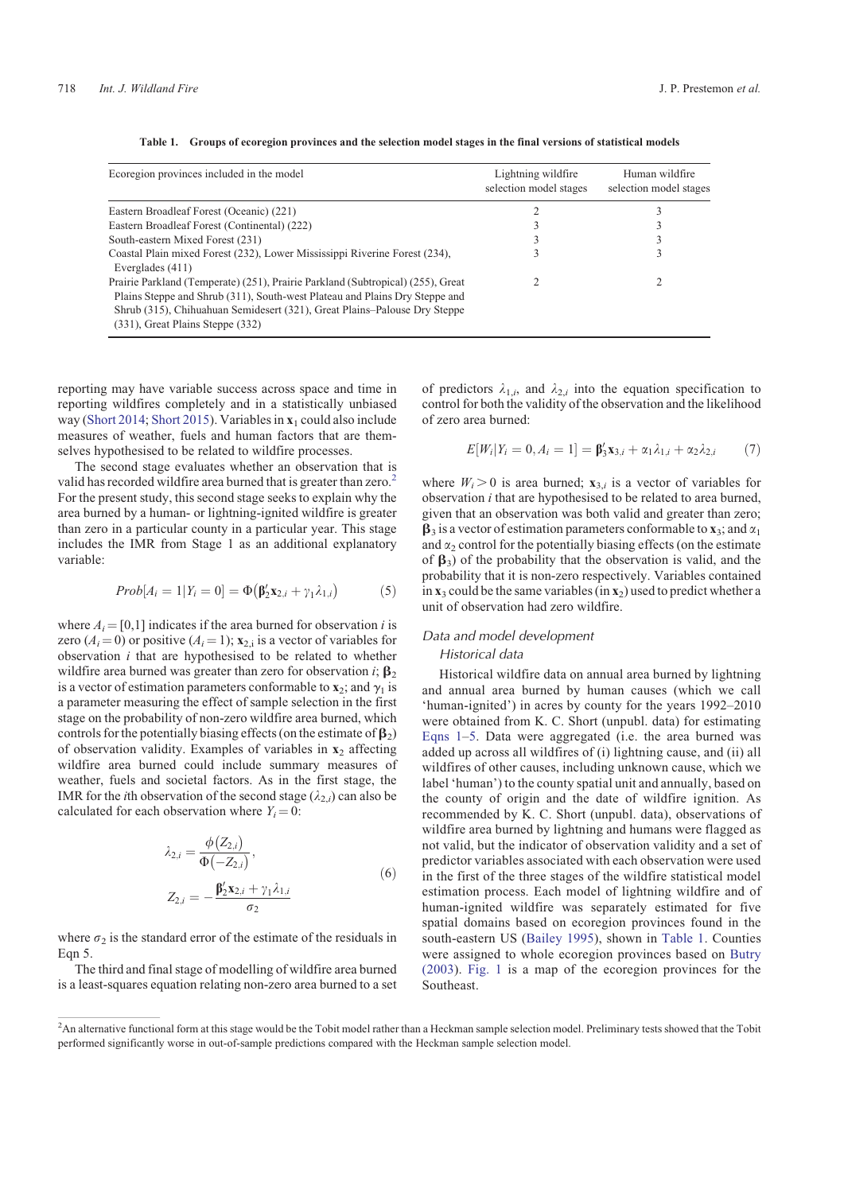<span id="page-3-0"></span>

| Ecoregion provinces included in the model                                                                                                                                                                                                                                            | Lightning wildfire<br>selection model stages | Human wildfire<br>selection model stages |
|--------------------------------------------------------------------------------------------------------------------------------------------------------------------------------------------------------------------------------------------------------------------------------------|----------------------------------------------|------------------------------------------|
| Eastern Broadleaf Forest (Oceanic) (221)                                                                                                                                                                                                                                             |                                              |                                          |
| Eastern Broadleaf Forest (Continental) (222)                                                                                                                                                                                                                                         |                                              |                                          |
| South-eastern Mixed Forest (231)                                                                                                                                                                                                                                                     |                                              |                                          |
| Coastal Plain mixed Forest (232), Lower Mississippi Riverine Forest (234),<br>Everglades $(411)$                                                                                                                                                                                     |                                              |                                          |
| Prairie Parkland (Temperate) (251), Prairie Parkland (Subtropical) (255), Great<br>Plains Steppe and Shrub (311), South-west Plateau and Plains Dry Steppe and<br>Shrub (315), Chihuahuan Semidesert (321), Great Plains–Palouse Dry Steppe<br>$(331)$ , Great Plains Steppe $(332)$ |                                              |                                          |

**Table 1. Groups of ecoregion provinces and the selection model stages in the final versions of statistical models**

reporting may have variable success across space and time in reporting wildfires completely and in a statistically unbiased way [\(Short 2014;](#page-14-0) [Short 2015\)](#page-14-0). Variables in **x**<sup>1</sup> could also include measures of weather, fuels and human factors that are themselves hypothesised to be related to wildfire processes.

The second stage evaluates whether an observation that is valid has recorded wildfire area burned that is greater than zero.<sup>2</sup> For the present study, this second stage seeks to explain why the area burned by a human- or lightning-ignited wildfire is greater than zero in a particular county in a particular year. This stage includes the IMR from Stage 1 as an additional explanatory variable:

$$
Prob[A_i = 1|Y_i = 0] = \Phi(\mathbf{\beta}_2^{\prime} \mathbf{x}_{2,i} + \gamma_1 \lambda_{1,i})
$$
 (5)

where  $A_i = [0,1]$  indicates if the area burned for observation *i* is zero  $(A_i = 0)$  or positive  $(A_i = 1)$ ;  $\mathbf{x}_{2,i}$  is a vector of variables for observation *i* that are hypothesised to be related to whether wildfire area burned was greater than zero for observation *i*;  $\beta_2$ is a vector of estimation parameters conformable to  $\mathbf{x}_2$ ; and  $\gamma_1$  is a parameter measuring the effect of sample selection in the first stage on the probability of non-zero wildfire area burned, which controls for the potentially biasing effects (on the estimate of  $\beta_2$ ) of observation validity. Examples of variables in **x**<sup>2</sup> affecting wildfire area burned could include summary measures of weather, fuels and societal factors. As in the first stage, the IMR for the *i*th observation of the second stage  $(\lambda_{2,i})$  can also be calculated for each observation where  $Y_i = 0$ :

$$
\lambda_{2,i} = \frac{\phi(Z_{2,i})}{\Phi(-Z_{2,i})}, \nZ_{2,i} = -\frac{\beta'_2 x_{2,i} + \gamma_1 \lambda_{1,i}}{\sigma_2}
$$
\n(6)

where  $\sigma_2$  is the standard error of the estimate of the residuals in Eqn 5.

The third and final stage of modelling of wildfire area burned is a least-squares equation relating non-zero area burned to a set of predictors  $\lambda_{1,i}$ , and  $\lambda_{2,i}$  into the equation specification to control for both the validity of the observation and the likelihood of zero area burned:

$$
E[W_i|Y_i = 0, A_i = 1] = \beta'_3 \mathbf{x}_{3,i} + \alpha_1 \lambda_{1,i} + \alpha_2 \lambda_{2,i} \tag{7}
$$

where  $W_i > 0$  is area burned;  $\mathbf{x}_{3,i}$  is a vector of variables for observation *i* that are hypothesised to be related to area burned, given that an observation was both valid and greater than zero;  $\beta_3$  is a vector of estimation parameters conformable to **x**<sub>3</sub>; and  $\alpha_1$ and  $\alpha_2$  control for the potentially biasing effects (on the estimate of  $\beta_3$ ) of the probability that the observation is valid, and the probability that it is non-zero respectively. Variables contained in  $\mathbf{x}_3$  could be the same variables (in  $\mathbf{x}_2$ ) used to predict whether a unit of observation had zero wildfire.

# Data and model development

## Historical data Historical wildfire data on annual area burned by lightning and annual area burned by human causes (which we call 'human-ignited') in acres by county for the years 1992–2010 were obtained from K. C. Short (unpubl. data) for estimating [Eqns 1](#page-1-0)–5. Data were aggregated (i.e. the area burned was added up across all wildfires of (i) lightning cause, and (ii) all wildfires of other causes, including unknown cause, which we label 'human') to the county spatial unit and annually, based on the county of origin and the date of wildfire ignition. As recommended by K. C. Short (unpubl. data), observations of wildfire area burned by lightning and humans were flagged as not valid, but the indicator of observation validity and a set of predictor variables associated with each observation were used in the first of the three stages of the wildfire statistical model estimation process. Each model of lightning wildfire and of human-ignited wildfire was separately estimated for five spatial domains based on ecoregion provinces found in the south-eastern US [\(Bailey 1995](#page-13-0)), shown in Table 1. Counties were assigned to whole ecoregion provinces based on [Butry](#page-13-0) [\(2003](#page-13-0)). [Fig. 1](#page-4-0) is a map of the ecoregion provinces for the Southeast.

<sup>&</sup>lt;sup>2</sup>An alternative functional form at this stage would be the Tobit model rather than a Heckman sample selection model. Preliminary tests showed that the Tobit performed significantly worse in out-of-sample predictions compared with the Heckman sample selection model.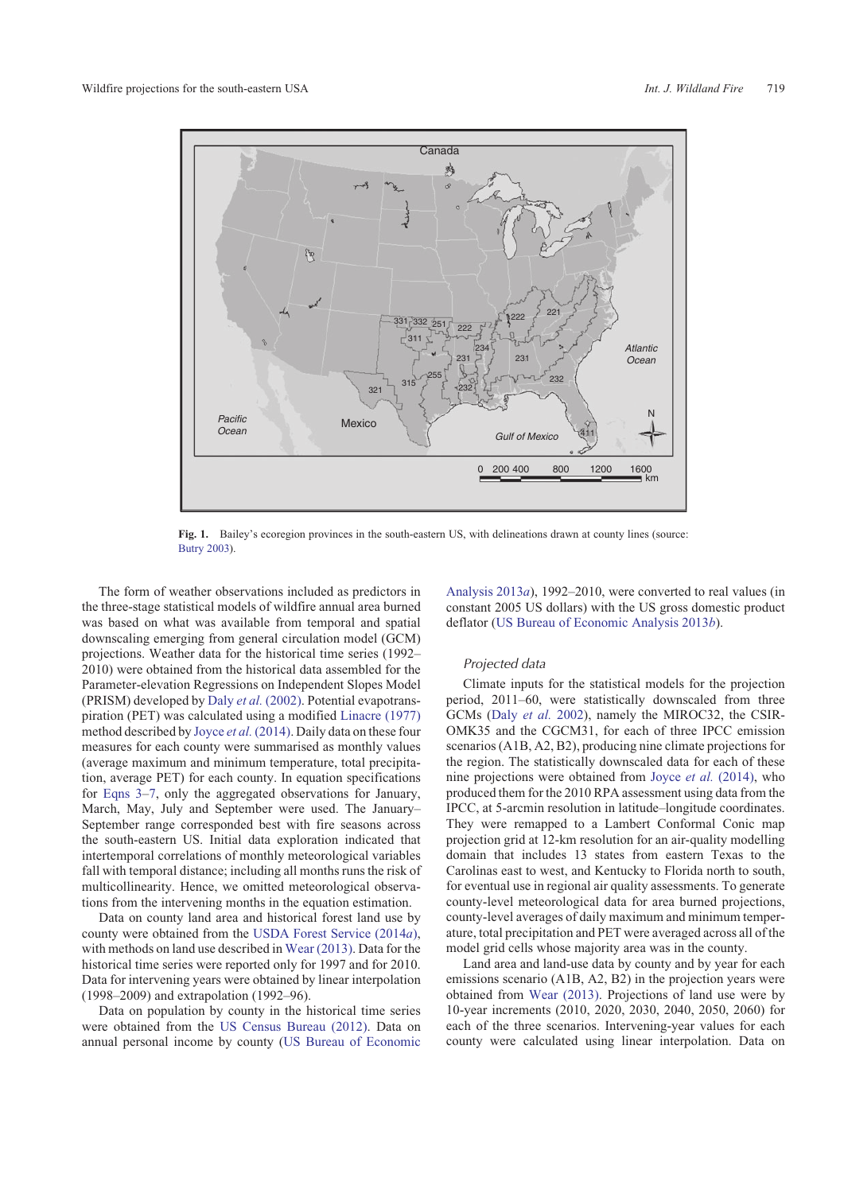<span id="page-4-0"></span>

**Fig. 1.** Bailey's ecoregion provinces in the south-eastern US, with delineations drawn at county lines (source: [Butry 2003\)](#page-13-0).

The form of weather observations included as predictors in the three-stage statistical models of wildfire annual area burned was based on what was available from temporal and spatial downscaling emerging from general circulation model (GCM) projections. Weather data for the historical time series (1992– 2010) were obtained from the historical data assembled for the Parameter-elevation Regressions on Independent Slopes Model (PRISM) developed by Daly *et al.* [\(2002\).](#page-13-0) Potential evapotranspiration (PET) was calculated using a modified [Linacre \(1977\)](#page-14-0) method described by Joyce *et al.* [\(2014\)](#page-14-0). Daily data on these four measures for each county were summarised as monthly values (average maximum and minimum temperature, total precipitation, average PET) for each county. In equation specifications for [Eqns 3](#page-2-0)[–7,](#page-3-0) only the aggregated observations for January, March, May, July and September were used. The January– September range corresponded best with fire seasons across the south-eastern US. Initial data exploration indicated that intertemporal correlations of monthly meteorological variables fall with temporal distance; including all months runs the risk of multicollinearity. Hence, we omitted meteorological observations from the intervening months in the equation estimation.

Data on county land area and historical forest land use by county were obtained from the [USDA Forest Service \(2014](#page-14-0)*a*), with methods on land use described in [Wear \(2013\).](#page-14-0) Data for the historical time series were reported only for 1997 and for 2010. Data for intervening years were obtained by linear interpolation (1998–2009) and extrapolation (1992–96).

Data on population by county in the historical time series were obtained from the [US Census Bureau \(2012\)](#page-14-0). Data on annual personal income by county [\(US Bureau of Economic](#page-14-0) [Analysis 2013](#page-14-0)*a*), 1992–2010, were converted to real values (in constant 2005 US dollars) with the US gross domestic product deflator ([US Bureau of Economic Analysis 2013](#page-14-0)*b*).

### Projected data

Climate inputs for the statistical models for the projection period, 2011–60, were statistically downscaled from three GCMs (Daly *[et al.](#page-13-0)* 2002), namely the MIROC32, the CSIR-OMK35 and the CGCM31, for each of three IPCC emission scenarios (A1B, A2, B2), producing nine climate projections for the region. The statistically downscaled data for each of these nine projections were obtained from Joyce *et al.* [\(2014\)](#page-14-0), who produced them for the 2010 RPA assessment using data from the IPCC, at 5-arcmin resolution in latitude–longitude coordinates. They were remapped to a Lambert Conformal Conic map projection grid at 12-km resolution for an air-quality modelling domain that includes 13 states from eastern Texas to the Carolinas east to west, and Kentucky to Florida north to south, for eventual use in regional air quality assessments. To generate county-level meteorological data for area burned projections, county-level averages of daily maximum and minimum temperature, total precipitation and PET were averaged across all of the model grid cells whose majority area was in the county.

Land area and land-use data by county and by year for each emissions scenario (A1B, A2, B2) in the projection years were obtained from [Wear \(2013\).](#page-14-0) Projections of land use were by 10-year increments (2010, 2020, 2030, 2040, 2050, 2060) for each of the three scenarios. Intervening-year values for each county were calculated using linear interpolation. Data on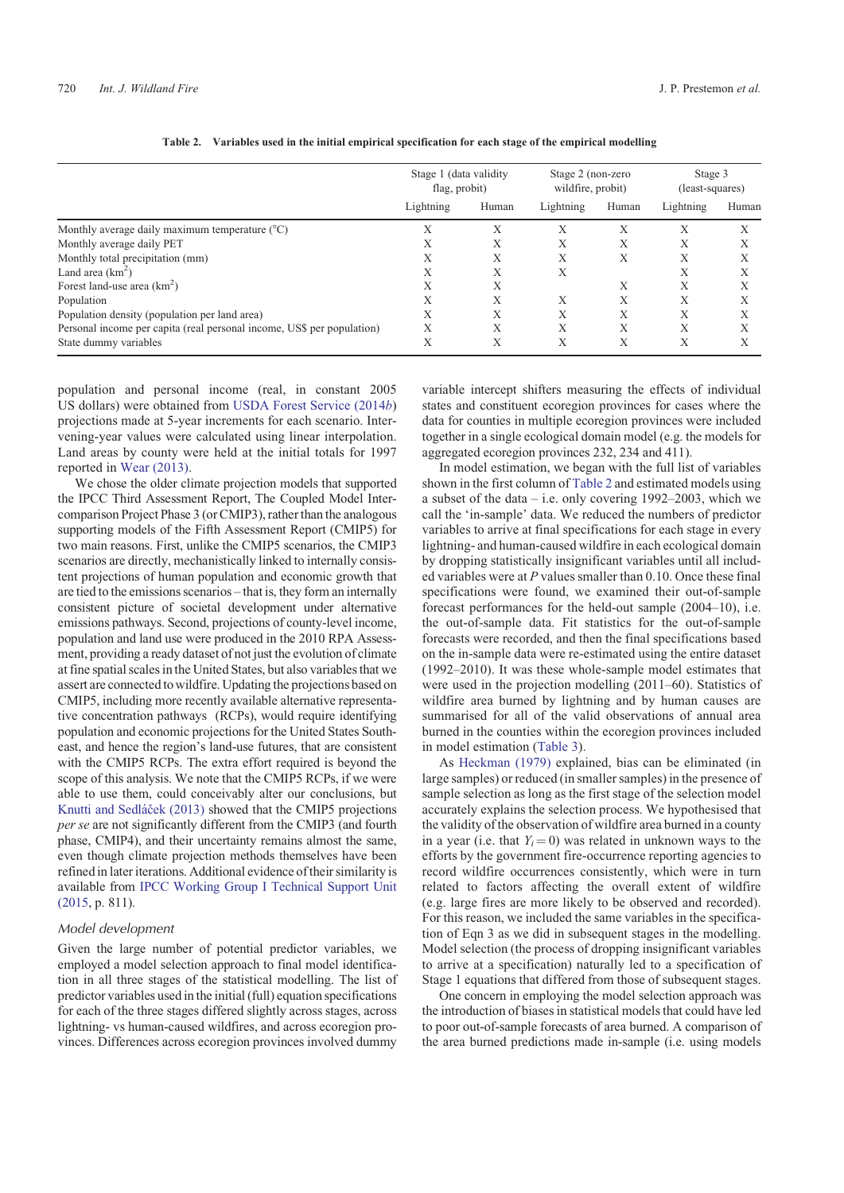<span id="page-5-0"></span>

|                                                                        | Stage 1 (data validity<br>flag, probit) |       | Stage 2 (non-zero<br>wildfire, probit) |       | Stage 3<br>(least-squares) |           |
|------------------------------------------------------------------------|-----------------------------------------|-------|----------------------------------------|-------|----------------------------|-----------|
|                                                                        | Lightning                               | Human | Lightning                              | Human | Lightning                  | Human     |
| Monthly average daily maximum temperature (°C)                         | Х                                       | Х     | Х                                      | Х     | Х                          | X         |
| Monthly average daily PET                                              | X                                       | X     | X                                      | X     | X                          | $\lambda$ |
| Monthly total precipitation (mm)                                       | X                                       | Х     | X                                      | Х     | Х                          | л         |
| Land area $(km^2)$                                                     | X                                       | Х     | X                                      |       | Х                          | X         |
| Forest land-use area $(km2)$                                           | X                                       | Х     |                                        | X     | X                          | $\lambda$ |
| Population                                                             | Χ                                       | X     | X                                      | X     | X                          | $\lambda$ |
| Population density (population per land area)                          | X                                       | Х     | X                                      | X     | X                          | X         |
| Personal income per capita (real personal income, US\$ per population) | X                                       | X     | X                                      | X     | X                          | $\lambda$ |
| State dummy variables                                                  | Х                                       | Х     | Х                                      | Х     | Х                          | $\lambda$ |

|  | Table 2. Variables used in the initial empirical specification for each stage of the empirical modelling |  |  |  |  |  |
|--|----------------------------------------------------------------------------------------------------------|--|--|--|--|--|
|--|----------------------------------------------------------------------------------------------------------|--|--|--|--|--|

population and personal income (real, in constant 2005 US dollars) were obtained from [USDA Forest Service \(2014](#page-14-0)*b*) projections made at 5-year increments for each scenario. Intervening-year values were calculated using linear interpolation. Land areas by county were held at the initial totals for 1997 reported in [Wear \(2013\)](#page-14-0).

We chose the older climate projection models that supported the IPCC Third Assessment Report, The Coupled Model Intercomparison Project Phase 3 (or CMIP3), rather than the analogous supporting models of the Fifth Assessment Report (CMIP5) for two main reasons. First, unlike the CMIP5 scenarios, the CMIP3 scenarios are directly, mechanistically linked to internally consistent projections of human population and economic growth that are tied to the emissions scenarios – that is, they form an internally consistent picture of societal development under alternative emissions pathways. Second, projections of county-level income, population and land use were produced in the 2010 RPA Assessment, providing a ready dataset of not just the evolution of climate at fine spatial scales in the United States, but also variables that we assert are connected to wildfire. Updating the projections based on CMIP5, including more recently available alternative representative concentration pathways (RCPs), would require identifying population and economic projections for the United States Southeast, and hence the region's land-use futures, that are consistent with the CMIP5 RCPs. The extra effort required is beyond the scope of this analysis. We note that the CMIP5 RCPs, if we were able to use them, could conceivably alter our conclusions, but Knutti and Sedláček (2013) showed that the CMIP5 projections *per se* are not significantly different from the CMIP3 (and fourth phase, CMIP4), and their uncertainty remains almost the same, even though climate projection methods themselves have been refined in later iterations. Additional evidence of their similarity is available from [IPCC Working Group I Technical Support Unit](#page-14-0) [\(2015](#page-14-0), p. 811).

#### Model development

Given the large number of potential predictor variables, we employed a model selection approach to final model identification in all three stages of the statistical modelling. The list of predictor variables used in the initial (full) equation specifications for each of the three stages differed slightly across stages, across lightning- vs human-caused wildfires, and across ecoregion provinces. Differences across ecoregion provinces involved dummy

variable intercept shifters measuring the effects of individual states and constituent ecoregion provinces for cases where the data for counties in multiple ecoregion provinces were included together in a single ecological domain model (e.g. the models for aggregated ecoregion provinces 232, 234 and 411).

In model estimation, we began with the full list of variables shown in the first column of Table 2 and estimated models using a subset of the data – i.e. only covering 1992–2003, which we call the 'in-sample' data. We reduced the numbers of predictor variables to arrive at final specifications for each stage in every lightning- and human-caused wildfire in each ecological domain by dropping statistically insignificant variables until all included variables were at *P* values smaller than 0.10. Once these final specifications were found, we examined their out-of-sample forecast performances for the held-out sample (2004–10), i.e. the out-of-sample data. Fit statistics for the out-of-sample forecasts were recorded, and then the final specifications based on the in-sample data were re-estimated using the entire dataset (1992–2010). It was these whole-sample model estimates that were used in the projection modelling (2011–60). Statistics of wildfire area burned by lightning and by human causes are summarised for all of the valid observations of annual area burned in the counties within the ecoregion provinces included in model estimation [\(Table 3](#page-6-0)).

As [Heckman \(1979\)](#page-14-0) explained, bias can be eliminated (in large samples) or reduced (in smaller samples) in the presence of sample selection as long as the first stage of the selection model accurately explains the selection process. We hypothesised that the validity of the observation of wildfire area burned in a county in a year (i.e. that  $Y_i = 0$ ) was related in unknown ways to the efforts by the government fire-occurrence reporting agencies to record wildfire occurrences consistently, which were in turn related to factors affecting the overall extent of wildfire (e.g. large fires are more likely to be observed and recorded). For this reason, we included the same variables in the specification of Eqn 3 as we did in subsequent stages in the modelling. Model selection (the process of dropping insignificant variables to arrive at a specification) naturally led to a specification of Stage 1 equations that differed from those of subsequent stages.

One concern in employing the model selection approach was the introduction of biases in statistical models that could have led to poor out-of-sample forecasts of area burned. A comparison of the area burned predictions made in-sample (i.e. using models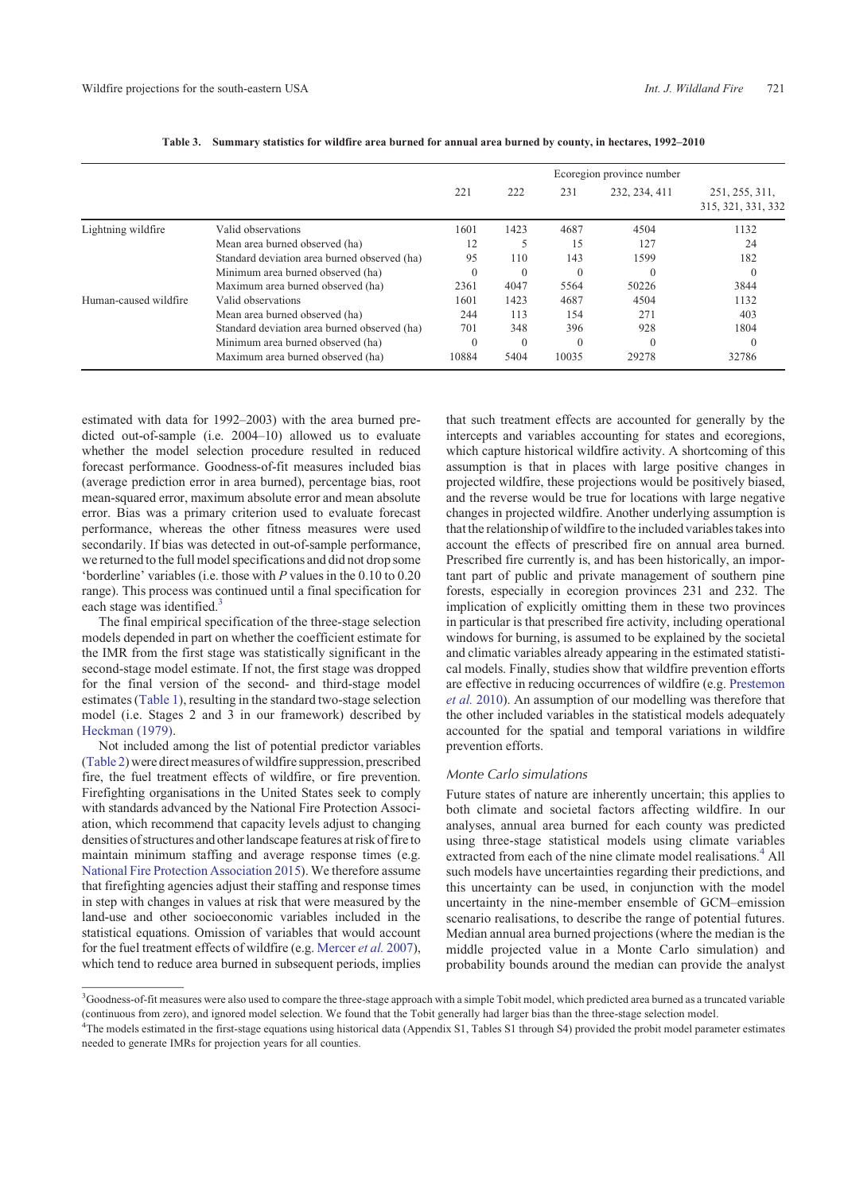<span id="page-6-0"></span>

|                       |                                              | Ecoregion province number |      |            |               |                                      |
|-----------------------|----------------------------------------------|---------------------------|------|------------|---------------|--------------------------------------|
|                       |                                              | 221                       | 222  | 231        | 232, 234, 411 | 251, 255, 311,<br>315, 321, 331, 332 |
| Lightning wildfire    | Valid observations                           | 1601                      | 1423 | 4687       | 4504          | 1132                                 |
|                       | Mean area burned observed (ha)               | 12                        |      | 15         | 127           | 24                                   |
|                       | Standard deviation area burned observed (ha) | 95                        | 110  | 143        | 1599          | 182                                  |
|                       | Minimum area burned observed (ha)            | $\theta$                  |      | $\sqrt{ }$ | $\theta$      |                                      |
|                       | Maximum area burned observed (ha)            | 2361                      | 4047 | 5564       | 50226         | 3844                                 |
| Human-caused wildfire | Valid observations                           | 1601                      | 1423 | 4687       | 4504          | 1132                                 |
|                       | Mean area burned observed (ha)               | 244                       | 113  | 154        | 271           | 403                                  |
|                       | Standard deviation area burned observed (ha) | 701                       | 348  | 396        | 928           | 1804                                 |
|                       | Minimum area burned observed (ha)            | $\theta$                  |      | $\Omega$   | $\Omega$      |                                      |
|                       | Maximum area burned observed (ha)            | 10884                     | 5404 | 10035      | 29278         | 32786                                |

**Table 3. Summary statistics for wildfire area burned for annual area burned by county, in hectares, 1992–2010**

estimated with data for 1992–2003) with the area burned predicted out-of-sample (i.e. 2004–10) allowed us to evaluate whether the model selection procedure resulted in reduced forecast performance. Goodness-of-fit measures included bias (average prediction error in area burned), percentage bias, root mean-squared error, maximum absolute error and mean absolute error. Bias was a primary criterion used to evaluate forecast performance, whereas the other fitness measures were used secondarily. If bias was detected in out-of-sample performance, we returned to the full model specifications and did not drop some 'borderline' variables (i.e. those with *P* values in the 0.10 to 0.20 range). This process was continued until a final specification for each stage was identified.<sup>3</sup>

The final empirical specification of the three-stage selection models depended in part on whether the coefficient estimate for the IMR from the first stage was statistically significant in the second-stage model estimate. If not, the first stage was dropped for the final version of the second- and third-stage model estimates ([Table 1](#page-3-0)), resulting in the standard two-stage selection model (i.e. Stages 2 and 3 in our framework) described by [Heckman \(1979\).](#page-14-0)

Not included among the list of potential predictor variables ([Table 2](#page-5-0)) were direct measures of wildfire suppression, prescribed fire, the fuel treatment effects of wildfire, or fire prevention. Firefighting organisations in the United States seek to comply with standards advanced by the National Fire Protection Association, which recommend that capacity levels adjust to changing densities of structures and other landscape features at risk of fireto maintain minimum staffing and average response times (e.g. [National Fire Protection Association 2015](#page-14-0)). We therefore assume that firefighting agencies adjust their staffing and response times in step with changes in values at risk that were measured by the land-use and other socioeconomic variables included in the statistical equations. Omission of variables that would account for the fuel treatment effects of wildfire (e.g. [Mercer](#page-14-0) *et al.* 2007), which tend to reduce area burned in subsequent periods, implies that such treatment effects are accounted for generally by the intercepts and variables accounting for states and ecoregions, which capture historical wildfire activity. A shortcoming of this assumption is that in places with large positive changes in projected wildfire, these projections would be positively biased, and the reverse would be true for locations with large negative changes in projected wildfire. Another underlying assumption is that the relationship of wildfire to the included variables takes into account the effects of prescribed fire on annual area burned. Prescribed fire currently is, and has been historically, an important part of public and private management of southern pine forests, especially in ecoregion provinces 231 and 232. The implication of explicitly omitting them in these two provinces in particular is that prescribed fire activity, including operational windows for burning, is assumed to be explained by the societal and climatic variables already appearing in the estimated statistical models. Finally, studies show that wildfire prevention efforts are effective in reducing occurrences of wildfire (e.g. [Prestemon](#page-14-0) *et al.* [2010\)](#page-14-0). An assumption of our modelling was therefore that the other included variables in the statistical models adequately accounted for the spatial and temporal variations in wildfire prevention efforts.

#### Monte Carlo simulations

Future states of nature are inherently uncertain; this applies to both climate and societal factors affecting wildfire. In our analyses, annual area burned for each county was predicted using three-stage statistical models using climate variables extracted from each of the nine climate model realisations.<sup>4</sup> All such models have uncertainties regarding their predictions, and this uncertainty can be used, in conjunction with the model uncertainty in the nine-member ensemble of GCM–emission scenario realisations, to describe the range of potential futures. Median annual area burned projections (where the median is the middle projected value in a Monte Carlo simulation) and probability bounds around the median can provide the analyst

<sup>&</sup>lt;sup>3</sup>Goodness-of-fit measures were also used to compare the three-stage approach with a simple Tobit model, which predicted area burned as a truncated variable (continuous from zero), and ignored model selection. We found that the Tobit generally had larger bias than the three-stage selection model.

<sup>4</sup> The models estimated in the first-stage equations using historical data (Appendix S1, Tables S1 through S4) provided the probit model parameter estimates needed to generate IMRs for projection years for all counties.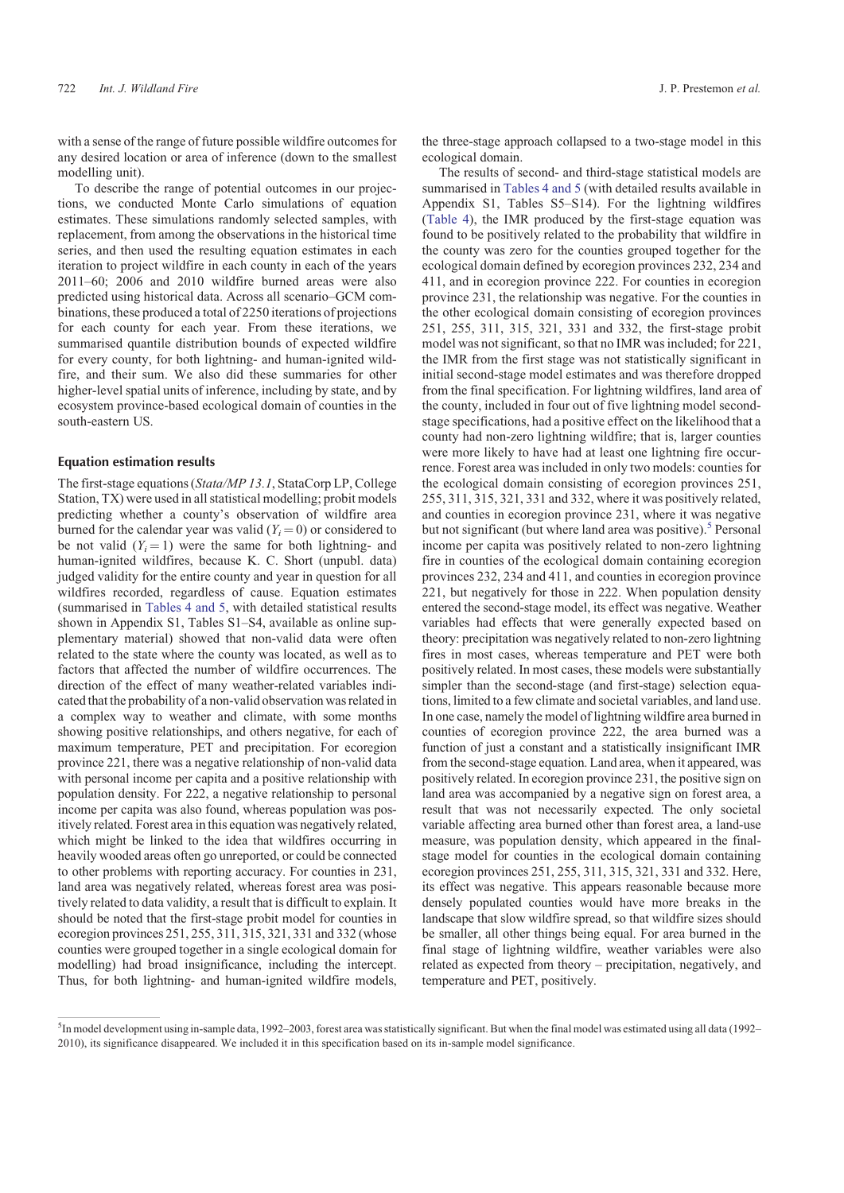with a sense of the range of future possible wildfire outcomes for any desired location or area of inference (down to the smallest modelling unit).

To describe the range of potential outcomes in our projections, we conducted Monte Carlo simulations of equation estimates. These simulations randomly selected samples, with replacement, from among the observations in the historical time series, and then used the resulting equation estimates in each iteration to project wildfire in each county in each of the years 2011–60; 2006 and 2010 wildfire burned areas were also predicted using historical data. Across all scenario–GCM combinations, these produced a total of 2250 iterations of projections for each county for each year. From these iterations, we summarised quantile distribution bounds of expected wildfire for every county, for both lightning- and human-ignited wildfire, and their sum. We also did these summaries for other higher-level spatial units of inference, including by state, and by ecosystem province-based ecological domain of counties in the south-eastern US.

#### Equation estimation results

The first-stage equations (*Stata/MP 13.1*, StataCorp LP, College Station, TX) were used in all statistical modelling; probit models predicting whether a county's observation of wildfire area burned for the calendar year was valid  $(Y_i = 0)$  or considered to be not valid  $(Y_i = 1)$  were the same for both lightning- and human-ignited wildfires, because K. C. Short (unpubl. data) judged validity for the entire county and year in question for all wildfires recorded, regardless of cause. Equation estimates (summarised in [Tables 4](#page-8-0) and [5](#page-9-0), with detailed statistical results shown in Appendix S1, Tables S1–S4, available as online supplementary material) showed that non-valid data were often related to the state where the county was located, as well as to factors that affected the number of wildfire occurrences. The direction of the effect of many weather-related variables indicated that the probability of a non-valid observation was related in a complex way to weather and climate, with some months showing positive relationships, and others negative, for each of maximum temperature, PET and precipitation. For ecoregion province 221, there was a negative relationship of non-valid data with personal income per capita and a positive relationship with population density. For 222, a negative relationship to personal income per capita was also found, whereas population was positively related. Forest area in this equation was negatively related, which might be linked to the idea that wildfires occurring in heavily wooded areas often go unreported, or could be connected to other problems with reporting accuracy. For counties in 231, land area was negatively related, whereas forest area was positively related to data validity, a result that is difficult to explain. It should be noted that the first-stage probit model for counties in ecoregion provinces 251, 255, 311, 315, 321, 331 and 332 (whose counties were grouped together in a single ecological domain for modelling) had broad insignificance, including the intercept. Thus, for both lightning- and human-ignited wildfire models,

the three-stage approach collapsed to a two-stage model in this ecological domain.

The results of second- and third-stage statistical models are summarised in [Tables 4](#page-8-0) an[d 5](#page-9-0) (with detailed results available in Appendix S1, Tables S5–S14). For the lightning wildfires [\(Table 4](#page-8-0)), the IMR produced by the first-stage equation was found to be positively related to the probability that wildfire in the county was zero for the counties grouped together for the ecological domain defined by ecoregion provinces 232, 234 and 411, and in ecoregion province 222. For counties in ecoregion province 231, the relationship was negative. For the counties in the other ecological domain consisting of ecoregion provinces 251, 255, 311, 315, 321, 331 and 332, the first-stage probit model was not significant, so that no IMR was included; for 221, the IMR from the first stage was not statistically significant in initial second-stage model estimates and was therefore dropped from the final specification. For lightning wildfires, land area of the county, included in four out of five lightning model secondstage specifications, had a positive effect on the likelihood that a county had non-zero lightning wildfire; that is, larger counties were more likely to have had at least one lightning fire occurrence. Forest area was included in only two models: counties for the ecological domain consisting of ecoregion provinces 251, 255, 311, 315, 321, 331 and 332, where it was positively related, and counties in ecoregion province 231, where it was negative but not significant (but where land area was positive).<sup>5</sup> Personal income per capita was positively related to non-zero lightning fire in counties of the ecological domain containing ecoregion provinces 232, 234 and 411, and counties in ecoregion province 221, but negatively for those in 222. When population density entered the second-stage model, its effect was negative. Weather variables had effects that were generally expected based on theory: precipitation was negatively related to non-zero lightning fires in most cases, whereas temperature and PET were both positively related. In most cases, these models were substantially simpler than the second-stage (and first-stage) selection equations, limited to a few climate and societal variables, and land use. In one case, namely the model of lightning wildfire area burned in counties of ecoregion province 222, the area burned was a function of just a constant and a statistically insignificant IMR from the second-stage equation. Land area, when it appeared, was positively related. In ecoregion province 231, the positive sign on land area was accompanied by a negative sign on forest area, a result that was not necessarily expected. The only societal variable affecting area burned other than forest area, a land-use measure, was population density, which appeared in the finalstage model for counties in the ecological domain containing ecoregion provinces 251, 255, 311, 315, 321, 331 and 332. Here, its effect was negative. This appears reasonable because more densely populated counties would have more breaks in the landscape that slow wildfire spread, so that wildfire sizes should be smaller, all other things being equal. For area burned in the final stage of lightning wildfire, weather variables were also related as expected from theory – precipitation, negatively, and temperature and PET, positively.

 $5$ In model development using in-sample data, 1992–2003, forest area was statistically significant. But when the final model was estimated using all data (1992– 2010), its significance disappeared. We included it in this specification based on its in-sample model significance.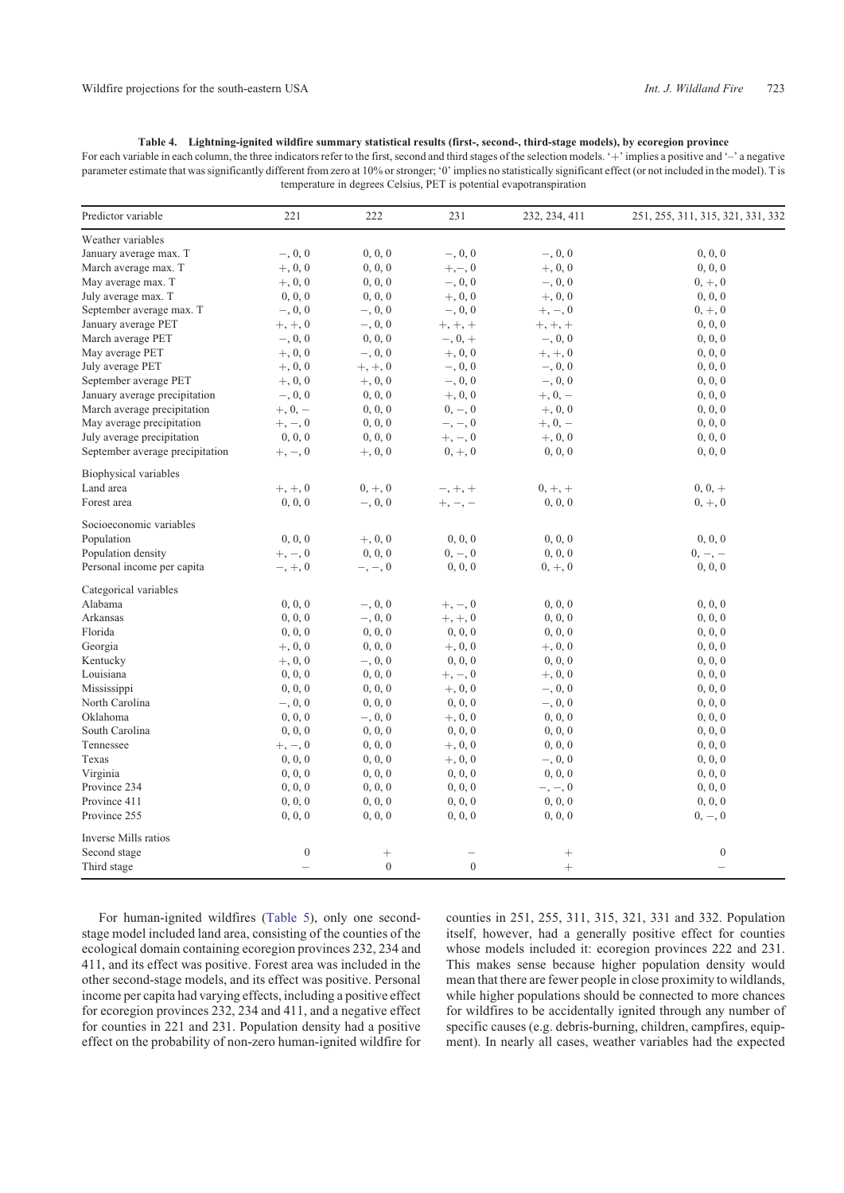<span id="page-8-0"></span>**Table 4. Lightning-ignited wildfire summary statistical results (first-, second-, third-stage models), by ecoregion province** For each variable in each column, the three indicators refer to the first, second and third stages of the selection models. '+' implies a positive and '-' a negative parameter estimate that was significantly different from zero at 10% or stronger; '0' implies no statistically significant effect (or not included in the model). T is temperature in degrees Celsius, PET is potential evapotranspiration

| Predictor variable              | 221              | 222                      | 231            | 232, 234, 411 | 251, 255, 311, 315, 321, 331, 332 |
|---------------------------------|------------------|--------------------------|----------------|---------------|-----------------------------------|
| Weather variables               |                  |                          |                |               |                                   |
| January average max. T          | $-, 0, 0$        | 0, 0, 0                  | $-, 0, 0$      | $-, 0, 0$     | 0, 0, 0                           |
| March average max. T            | $+, 0, 0$        | 0, 0, 0                  | $+,-,0$        | $+, 0, 0$     | 0, 0, 0                           |
| May average max. T              | $+, 0, 0$        | 0, 0, 0                  | $-, 0, 0$      | $-, 0, 0$     | $0, +, 0$                         |
| July average max. T             | 0, 0, 0          | 0, 0, 0                  | $+, 0, 0$      | $+, 0, 0$     | 0, 0, 0                           |
| September average max. T        | $-, 0, 0$        | $-, 0, 0$                | $-, 0, 0$      | $+, -, 0$     | $0, +, 0$                         |
| January average PET             | $+, +, 0$        | $-, 0, 0$                | $+, +, +$      | $+, +, +$     | 0, 0, 0                           |
| March average PET               | $-, 0, 0$        | 0, 0, 0                  | $-, 0, +$      | $-, 0, 0$     | 0, 0, 0                           |
| May average PET                 | $+, 0, 0$        | $-, 0, 0$                | $+, 0, 0$      | $+, +, 0$     | 0, 0, 0                           |
| July average PET                | $+, 0, 0$        | $+, +, 0$                | $-, 0, 0$      | $-, 0, 0$     | 0, 0, 0                           |
| September average PET           | $+, 0, 0$        | $+, 0, 0$                | $-, 0, 0$      | $-, 0, 0$     | 0, 0, 0                           |
| January average precipitation   | $-, 0, 0$        | 0, 0, 0                  | $+, 0, 0$      | $+, 0, -$     | 0, 0, 0                           |
| March average precipitation     | $+, 0, -$        | 0, 0, 0                  | $0, -, 0$      | $+, 0, 0$     | 0, 0, 0                           |
| May average precipitation       | $+, -, 0$        | 0, 0, 0                  | $-,-,0$        | $+, 0, -$     | 0, 0, 0                           |
| July average precipitation      | 0, 0, 0          | 0, 0, 0                  | $+, -, 0$      | $+, 0, 0$     | 0, 0, 0                           |
| September average precipitation | $+, -, 0$        | $+, 0, 0$                | $0, +, 0$      | 0, 0, 0       | 0, 0, 0                           |
| Biophysical variables           |                  |                          |                |               |                                   |
| Land area                       | $+, +, 0$        | $0, +, 0$                | $-, +, +$      | $0, +, +$     | $0, 0, +$                         |
| Forest area                     | 0, 0, 0          | $-, 0, 0$                | $+, -, -$      | 0, 0, 0       | $0, +, 0$                         |
| Socioeconomic variables         |                  |                          |                |               |                                   |
| Population                      | 0, 0, 0          | $+, 0, 0$                | 0, 0, 0        | 0, 0, 0       | 0, 0, 0                           |
| Population density              | $+, -, 0$        | 0, 0, 0                  | $0, -, 0$      | 0, 0, 0       | $0, -, -$                         |
| Personal income per capita      | $-, +, 0$        | $-,-,0$                  | 0, 0, 0        | $0, +, 0$     | 0, 0, 0                           |
| Categorical variables           |                  |                          |                |               |                                   |
| Alabama                         | 0, 0, 0          | $-, 0, 0$                | $+, -, 0$      | 0, 0, 0       | 0, 0, 0                           |
| Arkansas                        | 0, 0, 0          | $-, 0, 0$                | $+, +, 0$      | 0, 0, 0       | 0, 0, 0                           |
| Florida                         | 0, 0, 0          | 0, 0, 0                  | 0, 0, 0        | 0, 0, 0       | 0, 0, 0                           |
| Georgia                         | $+, 0, 0$        | 0, 0, 0                  | $+, 0, 0$      | $+, 0, 0$     | 0, 0, 0                           |
| Kentucky                        | $+, 0, 0$        | $-, 0, 0$                | 0, 0, 0        | 0, 0, 0       | 0, 0, 0                           |
| Louisiana                       | 0, 0, 0          | 0, 0, 0                  | $+, -, 0$      | $+, 0, 0$     | 0, 0, 0                           |
| Mississippi                     | 0, 0, 0          | 0, 0, 0                  | $+, 0, 0$      | $-, 0, 0$     | 0, 0, 0                           |
| North Carolina                  | $-, 0, 0$        | 0, 0, 0                  | 0, 0, 0        | $-, 0, 0$     | 0, 0, 0                           |
| Oklahoma                        | 0, 0, 0          | $-, 0, 0$                | $+, 0, 0$      | 0, 0, 0       | 0, 0, 0                           |
| South Carolina                  | 0, 0, 0          | 0, 0, 0                  | 0, 0, 0        | 0, 0, 0       | 0, 0, 0                           |
| Tennessee                       | $+, -, 0$        | 0, 0, 0                  | $+, 0, 0$      | 0, 0, 0       | 0, 0, 0                           |
| Texas                           | 0, 0, 0          | 0, 0, 0                  | $+, 0, 0$      | $-, 0, 0$     | 0, 0, 0                           |
| Virginia                        | 0, 0, 0          | 0, 0, 0                  | 0, 0, 0        | 0, 0, 0       | 0, 0, 0                           |
| Province 234                    | 0, 0, 0          | 0, 0, 0                  | 0, 0, 0        | $-,-,0$       | 0, 0, 0                           |
| Province 411                    | 0, 0, 0          | 0, 0, 0                  | 0, 0, 0        | 0, 0, 0       | 0, 0, 0                           |
| Province 255                    | 0, 0, 0          | 0, 0, 0                  | 0, 0, 0        | 0, 0, 0       | $0, -, 0$                         |
| Inverse Mills ratios            |                  |                          |                |               |                                   |
| Second stage                    | $\boldsymbol{0}$ |                          |                |               | $\boldsymbol{0}$                  |
|                                 |                  | $^{+}$<br>$\overline{0}$ | $\overline{0}$ |               |                                   |
| Third stage                     |                  |                          |                | $^{+}$        |                                   |

For human-ignited wildfires ([Table 5\)](#page-9-0), only one secondstage model included land area, consisting of the counties of the ecological domain containing ecoregion provinces 232, 234 and 411, and its effect was positive. Forest area was included in the other second-stage models, and its effect was positive. Personal income per capita had varying effects, including a positive effect for ecoregion provinces 232, 234 and 411, and a negative effect for counties in 221 and 231. Population density had a positive effect on the probability of non-zero human-ignited wildfire for counties in 251, 255, 311, 315, 321, 331 and 332. Population itself, however, had a generally positive effect for counties whose models included it: ecoregion provinces 222 and 231. This makes sense because higher population density would mean that there are fewer people in close proximity to wildlands, while higher populations should be connected to more chances for wildfires to be accidentally ignited through any number of specific causes (e.g. debris-burning, children, campfires, equipment). In nearly all cases, weather variables had the expected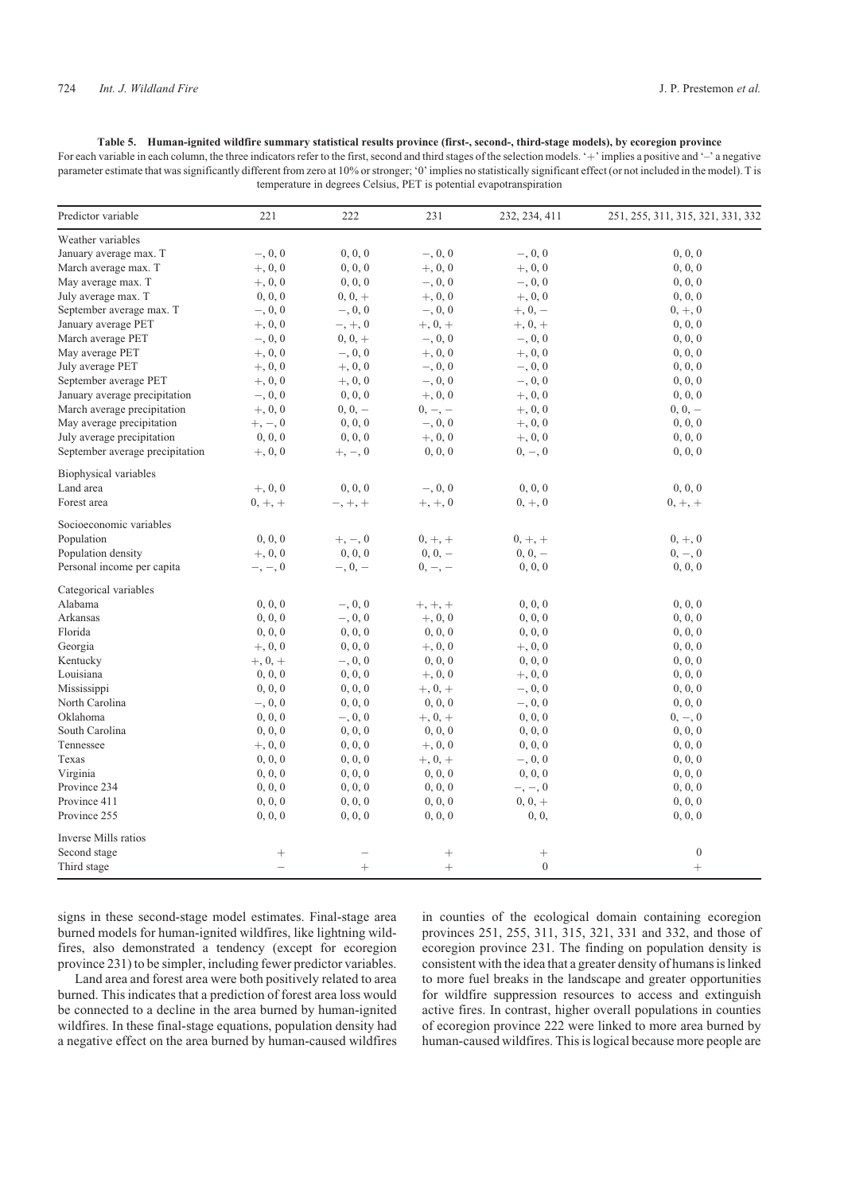<span id="page-9-0"></span>**Table 5. Human-ignited wildfire summary statistical results province (first-, second-, third-stage models), by ecoregion province** For each variable in each column, the three indicators refer to the first, second and third stages of the selection models. '+' implies a positive and '-' a negative parameter estimate that was significantly different from zero at 10% or stronger; '0' implies no statistically significant effect (or not included in the model). T is temperature in degrees Celsius, PET is potential evapotranspiration

| Predictor variable              | 221                      | 222          | 231                | 232, 234, 411  | 251, 255, 311, 315, 321, 331, 332 |
|---------------------------------|--------------------------|--------------|--------------------|----------------|-----------------------------------|
| Weather variables               |                          |              |                    |                |                                   |
| January average max. T          | $-, 0, 0$                | 0, 0, 0      | $-, 0, 0$          | $-, 0, 0$      | 0, 0, 0                           |
| March average max. T            | $+, 0, 0$                | 0, 0, 0      | $+, 0, 0$          | $+, 0, 0$      | 0, 0, 0                           |
| May average max. T              | $+, 0, 0$                | 0, 0, 0      | $-, 0, 0$          | $-, 0, 0$      | 0, 0, 0                           |
| July average max. T             | 0, 0, 0                  | $0, 0, +$    | $+, 0, 0$          | $+, 0, 0$      | 0, 0, 0                           |
| September average max. T        | $-, 0, 0$                | $-, 0, 0$    | $-, 0, 0$          | $+, 0, -$      | $0, +, 0$                         |
| January average PET             | $+, 0, 0$                | $-, +, 0$    | $+, 0, +$          | $+, 0, +$      | 0, 0, 0                           |
| March average PET               | $-, 0, 0$                | $0, 0, +$    | $-, 0, 0$          | $-, 0, 0$      | 0, 0, 0                           |
| May average PET                 | $+, 0, 0$                | $-, 0, 0$    | $+, 0, 0$          | $+, 0, 0$      | 0, 0, 0                           |
| July average PET                | $+, 0, 0$                | $+, 0, 0$    | $-, 0, 0$          | $-, 0, 0$      | 0, 0, 0                           |
| September average PET           | $+, 0, 0$                | $+, 0, 0$    | $-, 0, 0$          | $-, 0, 0$      | 0, 0, 0                           |
| January average precipitation   | $-, 0, 0$                | 0, 0, 0      | $+, 0, 0$          | $+, 0, 0$      | 0, 0, 0                           |
| March average precipitation     | $+, 0, 0$                | $0, 0, -$    | $0, -, -$          | $+, 0, 0$      | $0, 0, -$                         |
|                                 |                          |              | $-, 0, 0$          |                |                                   |
| May average precipitation       | $+, -, 0$                | 0, 0, 0      |                    | $+, 0, 0$      | 0, 0, 0                           |
| July average precipitation      | 0, 0, 0                  | 0, 0, 0      | $+, 0, 0$          | $+, 0, 0$      | 0, 0, 0                           |
| September average precipitation | $+, 0, 0$                | $+, -, 0$    | 0, 0, 0            | $0, -, 0$      | 0, 0, 0                           |
| Biophysical variables           |                          |              |                    |                |                                   |
| Land area                       | $+, 0, 0$                | 0, 0, 0      | $-, 0, 0$          | 0, 0, 0        | 0, 0, 0                           |
| Forest area                     | $0, +, +$                | $-, +, +$    | $+, +, 0$          | $0, +, 0$      | $0, +, +$                         |
| Socioeconomic variables         |                          |              |                    |                |                                   |
| Population                      | 0, 0, 0                  | $+, -, 0$    | $0, +, +$          | $0, +, +$      | $0, +, 0$                         |
| Population density              | $+, 0, 0$                | 0, 0, 0      | $0, 0, -$          | $0, 0, -$      | $0, -, 0$                         |
| Personal income per capita      | $-,-,0$                  | $-$ , 0, $-$ | $0, -, -$          | 0, 0, 0        | 0, 0, 0                           |
| Categorical variables           |                          |              |                    |                |                                   |
| Alabama                         | 0, 0, 0                  | $-, 0, 0$    | $+, +, +$          | 0, 0, 0        | 0, 0, 0                           |
| Arkansas                        | 0, 0, 0                  | $-, 0, 0$    | $+, 0, 0$          | 0, 0, 0        | 0, 0, 0                           |
| Florida                         | 0, 0, 0                  | 0, 0, 0      | 0, 0, 0            | 0, 0, 0        | 0, 0, 0                           |
| Georgia                         | $+, 0, 0$                | 0, 0, 0      | $+, 0, 0$          | $+, 0, 0$      | 0, 0, 0                           |
| Kentucky                        | $+, 0, +$                | $-, 0, 0$    | 0, 0, 0            | 0, 0, 0        | 0, 0, 0                           |
| Louisiana                       | 0, 0, 0                  | 0, 0, 0      | $+, 0, 0$          | $+, 0, 0$      | 0, 0, 0                           |
| Mississippi                     | 0, 0, 0                  | 0, 0, 0      | $+, 0, +$          | $-, 0, 0$      | 0, 0, 0                           |
| North Carolina                  | $-, 0, 0$                | 0, 0, 0      | 0, 0, 0            | $-, 0, 0$      | 0, 0, 0                           |
| Oklahoma                        | 0, 0, 0                  | $-, 0, 0$    | $+, 0, +$          | 0, 0, 0        | $0, -, 0$                         |
| South Carolina                  | 0, 0, 0                  | 0, 0, 0      | 0, 0, 0            | 0, 0, 0        | 0, 0, 0                           |
| Tennessee                       | $+, 0, 0$                | 0, 0, 0      | $+, 0, 0$          | 0, 0, 0        | 0, 0, 0                           |
| Texas                           | 0, 0, 0                  | 0, 0, 0      | $+, 0, +$          | $-, 0, 0$      | 0, 0, 0                           |
| Virginia                        | 0, 0, 0                  | 0, 0, 0      | 0, 0, 0            | 0, 0, 0        | 0, 0, 0                           |
| Province 234                    | 0, 0, 0                  | 0, 0, 0      | 0, 0, 0            | $-,-,0$        | 0, 0, 0                           |
| Province 411                    |                          | 0, 0, 0      |                    | $0, 0, +$      | 0, 0, 0                           |
| Province 255                    | 0, 0, 0<br>0, 0, 0       | 0, 0, 0      | 0, 0, 0<br>0, 0, 0 | 0, 0,          |                                   |
|                                 |                          |              |                    |                | 0, 0, 0                           |
| Inverse Mills ratios            |                          |              |                    |                |                                   |
| Second stage                    | $\! + \!\!\!\!$          |              | $^{+}$             |                | $\boldsymbol{0}$                  |
| Third stage                     | $\overline{\phantom{0}}$ | $^{+}$       | $+$                | $\overline{0}$ | $^{+}$                            |

signs in these second-stage model estimates. Final-stage area burned models for human-ignited wildfires, like lightning wildfires, also demonstrated a tendency (except for ecoregion province 231) to be simpler, including fewer predictor variables.

Land area and forest area were both positively related to area burned. This indicates that a prediction of forest area loss would be connected to a decline in the area burned by human-ignited wildfires. In these final-stage equations, population density had a negative effect on the area burned by human-caused wildfires

in counties of the ecological domain containing ecoregion provinces 251, 255, 311, 315, 321, 331 and 332, and those of ecoregion province 231. The finding on population density is consistent with the idea that a greater density of humans is linked to more fuel breaks in the landscape and greater opportunities for wildfire suppression resources to access and extinguish active fires. In contrast, higher overall populations in counties of ecoregion province 222 were linked to more area burned by human-caused wildfires. This is logical because more people are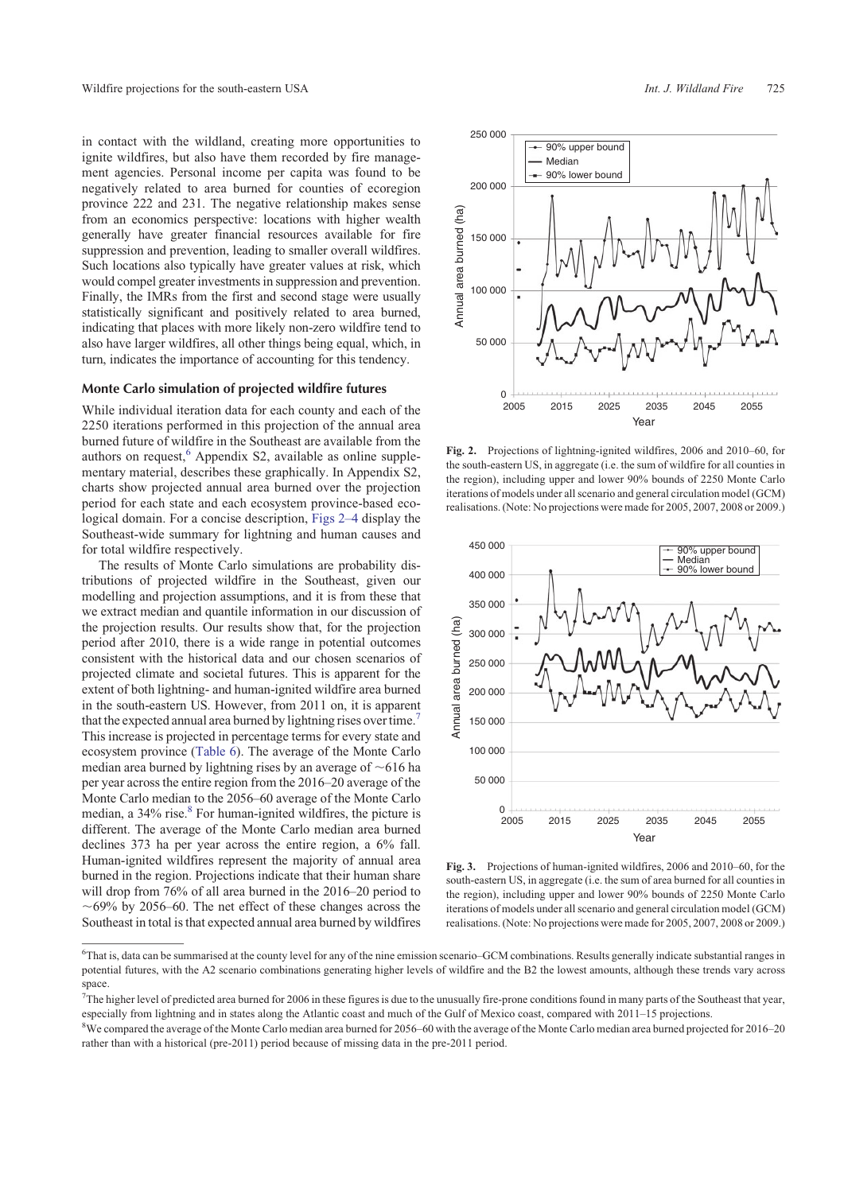<span id="page-10-0"></span>in contact with the wildland, creating more opportunities to ignite wildfires, but also have them recorded by fire management agencies. Personal income per capita was found to be negatively related to area burned for counties of ecoregion province 222 and 231. The negative relationship makes sense from an economics perspective: locations with higher wealth generally have greater financial resources available for fire suppression and prevention, leading to smaller overall wildfires. Such locations also typically have greater values at risk, which would compel greater investments in suppression and prevention. Finally, the IMRs from the first and second stage were usually statistically significant and positively related to area burned, indicating that places with more likely non-zero wildfire tend to also have larger wildfires, all other things being equal, which, in turn, indicates the importance of accounting for this tendency.

#### Monte Carlo simulation of projected wildfire futures

While individual iteration data for each county and each of the 2250 iterations performed in this projection of the annual area burned future of wildfire in the Southeast are available from the authors on request,<sup>6</sup> Appendix S2, available as online supplementary material, describes these graphically. In Appendix S2, charts show projected annual area burned over the projection period for each state and each ecosystem province-based ecological domain. For a concise description, Figs 2[–4](#page-11-0) display the Southeast-wide summary for lightning and human causes and for total wildfire respectively.

The results of Monte Carlo simulations are probability distributions of projected wildfire in the Southeast, given our modelling and projection assumptions, and it is from these that we extract median and quantile information in our discussion of the projection results. Our results show that, for the projection period after 2010, there is a wide range in potential outcomes consistent with the historical data and our chosen scenarios of projected climate and societal futures. This is apparent for the extent of both lightning- and human-ignited wildfire area burned in the south-eastern US. However, from 2011 on, it is apparent that the expected annual area burned by lightning rises over time.<sup>7</sup> This increase is projected in percentage terms for every state and ecosystem province ([Table 6\)](#page-12-0). The average of the Monte Carlo median area burned by lightning rises by an average of  $\sim 616$  ha per year across the entire region from the 2016–20 average of the Monte Carlo median to the 2056–60 average of the Monte Carlo median, a 34% rise.<sup>8</sup> For human-ignited wildfires, the picture is different. The average of the Monte Carlo median area burned declines 373 ha per year across the entire region, a 6% fall. Human-ignited wildfires represent the majority of annual area burned in the region. Projections indicate that their human share will drop from 76% of all area burned in the 2016–20 period to  $\sim69\%$  by 2056–60. The net effect of these changes across the Southeast in total is that expected annual area burned by wildfires



**Fig. 2.** Projections of lightning-ignited wildfires, 2006 and 2010–60, for the south-eastern US, in aggregate (i.e. the sum of wildfire for all counties in the region), including upper and lower 90% bounds of 2250 Monte Carlo iterations of models under all scenario and general circulation model (GCM) realisations. (Note: No projections were made for 2005, 2007, 2008 or 2009.)



**Fig. 3.** Projections of human-ignited wildfires, 2006 and 2010–60, for the south-eastern US, in aggregate (i.e. the sum of area burned for all counties in the region), including upper and lower 90% bounds of 2250 Monte Carlo iterations of models under all scenario and general circulation model (GCM) realisations. (Note: No projections were made for 2005, 2007, 2008 or 2009.)

<sup>6</sup> That is, data can be summarised at the county level for any of the nine emission scenario–GCM combinations. Results generally indicate substantial ranges in potential futures, with the A2 scenario combinations generating higher levels of wildfire and the B2 the lowest amounts, although these trends vary across space.

 $7$ The higher level of predicted area burned for 2006 in these figures is due to the unusually fire-prone conditions found in many parts of the Southeast that year, especially from lightning and in states along the Atlantic coast and much of the Gulf of Mexico coast, compared with 2011–15 projections.

<sup>&</sup>lt;sup>8</sup>We compared the average of the Monte Carlo median area burned for 2056–60 with the average of the Monte Carlo median area burned projected for 2016–20 rather than with a historical (pre-2011) period because of missing data in the pre-2011 period.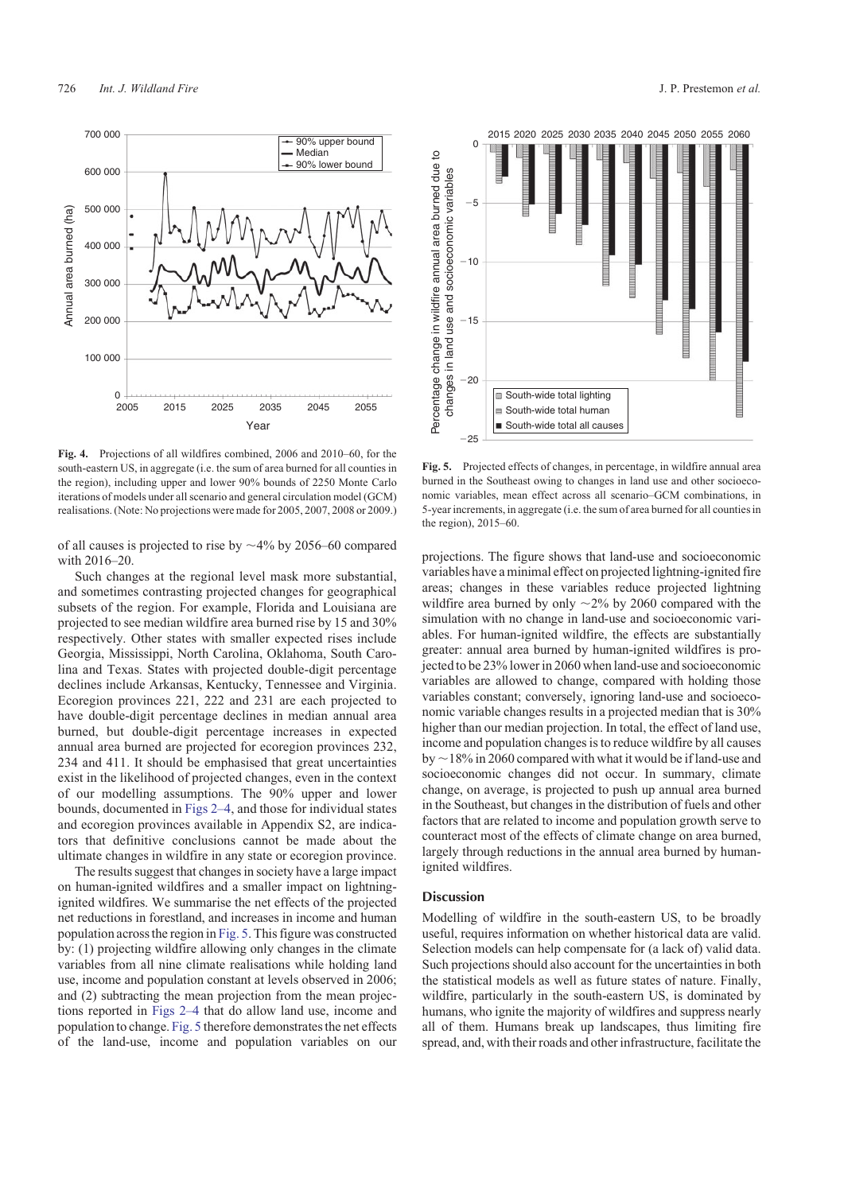<span id="page-11-0"></span>

**Fig. 4.** Projections of all wildfires combined, 2006 and 2010–60, for the south-eastern US, in aggregate (i.e. the sum of area burned for all counties in the region), including upper and lower 90% bounds of 2250 Monte Carlo iterations of models under all scenario and general circulation model (GCM) realisations. (Note: No projections were made for 2005, 2007, 2008 or 2009.)

of all causes is projected to rise by  $\sim$ 4% by 2056–60 compared with 2016–20.

Such changes at the regional level mask more substantial, and sometimes contrasting projected changes for geographical subsets of the region. For example, Florida and Louisiana are projected to see median wildfire area burned rise by 15 and 30% respectively. Other states with smaller expected rises include Georgia, Mississippi, North Carolina, Oklahoma, South Carolina and Texas. States with projected double-digit percentage declines include Arkansas, Kentucky, Tennessee and Virginia. Ecoregion provinces 221, 222 and 231 are each projected to have double-digit percentage declines in median annual area burned, but double-digit percentage increases in expected annual area burned are projected for ecoregion provinces 232, 234 and 411. It should be emphasised that great uncertainties exist in the likelihood of projected changes, even in the context of our modelling assumptions. The 90% upper and lower bounds, documented in [Figs 2–](#page-10-0)4, and those for individual states and ecoregion provinces available in Appendix S2, are indicators that definitive conclusions cannot be made about the ultimate changes in wildfire in any state or ecoregion province.

The results suggest that changes in society have a large impact on human-ignited wildfires and a smaller impact on lightningignited wildfires. We summarise the net effects of the projected net reductions in forestland, and increases in income and human population across the region in Fig. 5. This figure was constructed by: (1) projecting wildfire allowing only changes in the climate variables from all nine climate realisations while holding land use, income and population constant at levels observed in 2006; and (2) subtracting the mean projection from the mean projections reported in [Figs 2](#page-10-0)–4 that do allow land use, income and population to change. Fig. 5 therefore demonstrates the net effects of the land-use, income and population variables on our



**Fig. 5.** Projected effects of changes, in percentage, in wildfire annual area burned in the Southeast owing to changes in land use and other socioeconomic variables, mean effect across all scenario–GCM combinations, in 5-year increments, in aggregate (i.e. the sum of area burned for all counties in the region), 2015–60.

projections. The figure shows that land-use and socioeconomic variables have a minimal effect on projected lightning-ignited fire areas; changes in these variables reduce projected lightning wildfire area burned by only  $\sim$ 2% by 2060 compared with the simulation with no change in land-use and socioeconomic variables. For human-ignited wildfire, the effects are substantially greater: annual area burned by human-ignited wildfires is projected to be 23% lower in 2060 when land-use and socioeconomic variables are allowed to change, compared with holding those variables constant; conversely, ignoring land-use and socioeconomic variable changes results in a projected median that is 30% higher than our median projection. In total, the effect of land use, income and population changes is to reduce wildfire by all causes by  $\sim$ 18% in 2060 compared with what it would be if land-use and socioeconomic changes did not occur. In summary, climate change, on average, is projected to push up annual area burned in the Southeast, but changes in the distribution of fuels and other factors that are related to income and population growth serve to counteract most of the effects of climate change on area burned, largely through reductions in the annual area burned by humanignited wildfires.

## Discussion

Modelling of wildfire in the south-eastern US, to be broadly useful, requires information on whether historical data are valid. Selection models can help compensate for (a lack of) valid data. Such projections should also account for the uncertainties in both the statistical models as well as future states of nature. Finally, wildfire, particularly in the south-eastern US, is dominated by humans, who ignite the majority of wildfires and suppress nearly all of them. Humans break up landscapes, thus limiting fire spread, and, with their roads and other infrastructure, facilitate the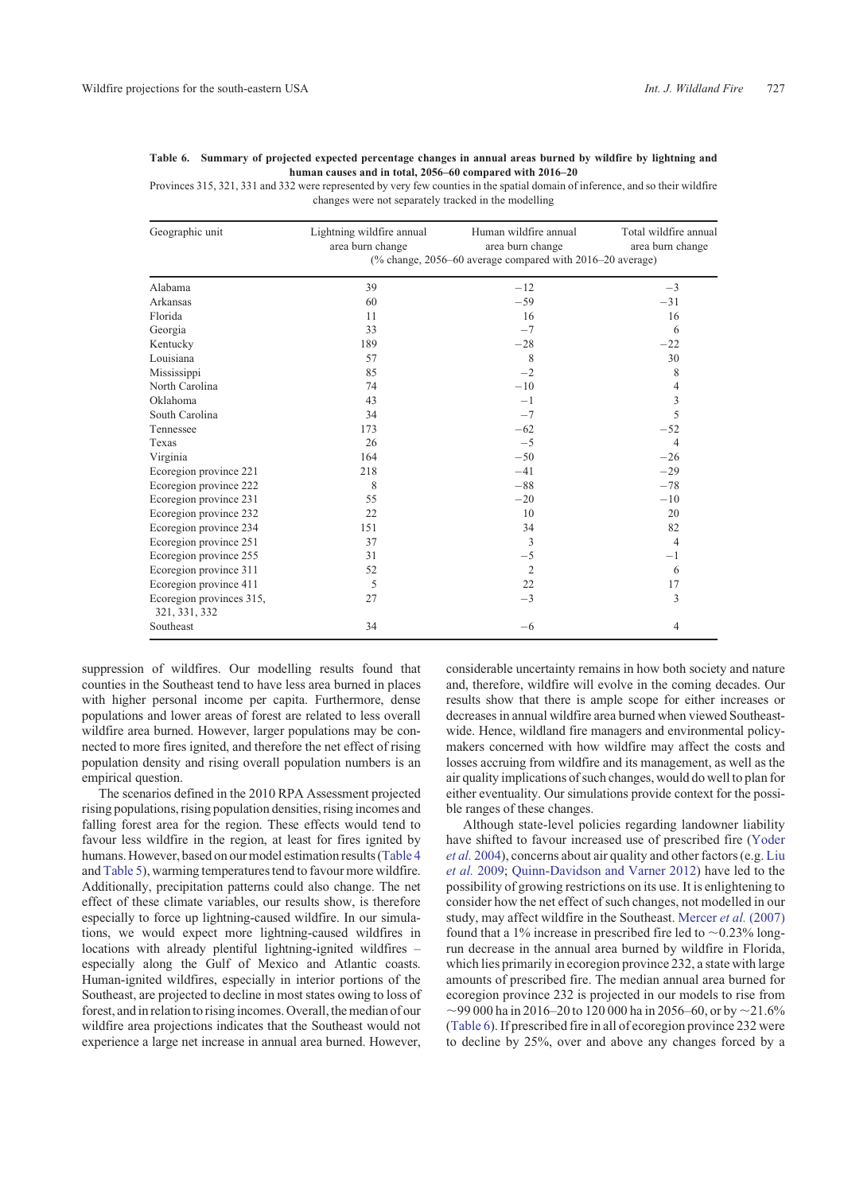| Geographic unit                           | Lightning wildfire annual<br>area burn change | Human wildfire annual<br>area burn change                 | Total wildfire annual<br>area burn change |
|-------------------------------------------|-----------------------------------------------|-----------------------------------------------------------|-------------------------------------------|
|                                           |                                               | (% change, 2056-60 average compared with 2016-20 average) |                                           |
| Alabama                                   | 39                                            | $-12$                                                     | $-3$                                      |
| Arkansas                                  | 60                                            | $-59$                                                     | $-31$                                     |
| Florida                                   | 11                                            | 16                                                        | 16                                        |
| Georgia                                   | 33                                            | $-7$                                                      | 6                                         |
| Kentucky                                  | 189                                           | $-28$                                                     | $-22$                                     |
| Louisiana                                 | 57                                            | 8                                                         | 30                                        |
| Mississippi                               | 85                                            | $-2$                                                      | 8                                         |
| North Carolina                            | 74                                            | $-10$                                                     | 4                                         |
| Oklahoma                                  | 43                                            | $-1$                                                      | 3                                         |
| South Carolina                            | 34                                            | $-7$                                                      | 5                                         |
| Tennessee                                 | 173                                           | $-62$                                                     | $-52$                                     |
| Texas                                     | 26                                            | $-5$                                                      | $\overline{4}$                            |
| Virginia                                  | 164                                           | $-50$                                                     | $-26$                                     |
| Ecoregion province 221                    | 218                                           | $-41$                                                     | $-29$                                     |
| Ecoregion province 222                    | 8                                             | $-88$                                                     | $-78$                                     |
| Ecoregion province 231                    | 55                                            | $-20$                                                     | $-10$                                     |
| Ecoregion province 232                    | 22                                            | 10                                                        | 20                                        |
| Ecoregion province 234                    | 151                                           | 34                                                        | 82                                        |
| Ecoregion province 251                    | 37                                            | 3                                                         | $\overline{4}$                            |
| Ecoregion province 255                    | 31                                            | $-5$                                                      | $-1$                                      |
| Ecoregion province 311                    | 52                                            | $\overline{2}$                                            | 6                                         |
| Ecoregion province 411                    | 5                                             | 22                                                        | 17                                        |
| Ecoregion provinces 315,<br>321, 331, 332 | 27                                            | $-3$                                                      | 3                                         |
| Southeast                                 | 34                                            | $-6$                                                      | $\overline{4}$                            |

<span id="page-12-0"></span>**Table 6. Summary of projected expected percentage changes in annual areas burned by wildfire by lightning and human causes and in total, 2056–60 compared with 2016–20**

Provinces 315, 321, 331 and 332 were represented by very few counties in the spatial domain of inference, and so their wildfire changes were not separately tracked in the modelling

suppression of wildfires. Our modelling results found that counties in the Southeast tend to have less area burned in places with higher personal income per capita. Furthermore, dense populations and lower areas of forest are related to less overall wildfire area burned. However, larger populations may be connected to more fires ignited, and therefore the net effect of rising population density and rising overall population numbers is an empirical question.

The scenarios defined in the 2010 RPA Assessment projected rising populations, rising population densities, rising incomes and falling forest area for the region. These effects would tend to favour less wildfire in the region, at least for fires ignited by humans. However, based on our model estimation results [\(Table 4](#page-8-0) and [Table 5](#page-9-0)), warming temperatures tend to favour more wildfire. Additionally, precipitation patterns could also change. The net effect of these climate variables, our results show, is therefore especially to force up lightning-caused wildfire. In our simulations, we would expect more lightning-caused wildfires in locations with already plentiful lightning-ignited wildfires – especially along the Gulf of Mexico and Atlantic coasts. Human-ignited wildfires, especially in interior portions of the Southeast, are projected to decline in most states owing to loss of forest, and in relation to rising incomes. Overall, the median of our wildfire area projections indicates that the Southeast would not experience a large net increase in annual area burned. However,

considerable uncertainty remains in how both society and nature and, therefore, wildfire will evolve in the coming decades. Our results show that there is ample scope for either increases or decreases in annual wildfire area burned when viewed Southeastwide. Hence, wildland fire managers and environmental policymakers concerned with how wildfire may affect the costs and losses accruing from wildfire and its management, as well as the air quality implications of such changes, would do well to plan for either eventuality. Our simulations provide context for the possible ranges of these changes.

Although state-level policies regarding landowner liability have shifted to favour increased use of prescribed fire [\(Yoder](#page-14-0) *et al.* [2004\)](#page-14-0), concerns about air quality and other factors (e.g. [Liu](#page-14-0) *[et al.](#page-14-0)* 2009; [Quinn-Davidson and Varner 2012](#page-14-0)) have led to the possibility of growing restrictions on its use. It is enlightening to consider how the net effect of such changes, not modelled in our study, may affect wildfire in the Southeast. [Mercer](#page-14-0) *et al.* (2007) found that a 1% increase in prescribed fire led to  $\sim$  0.23% longrun decrease in the annual area burned by wildfire in Florida, which lies primarily in ecoregion province 232, a state with large amounts of prescribed fire. The median annual area burned for ecoregion province 232 is projected in our models to rise from  $\sim$ 99 000 ha in 2016–20 to 120 000 ha in 2056–60, or by  $\sim$ 21.6% (Table 6). If prescribed fire in all of ecoregion province 232 were to decline by 25%, over and above any changes forced by a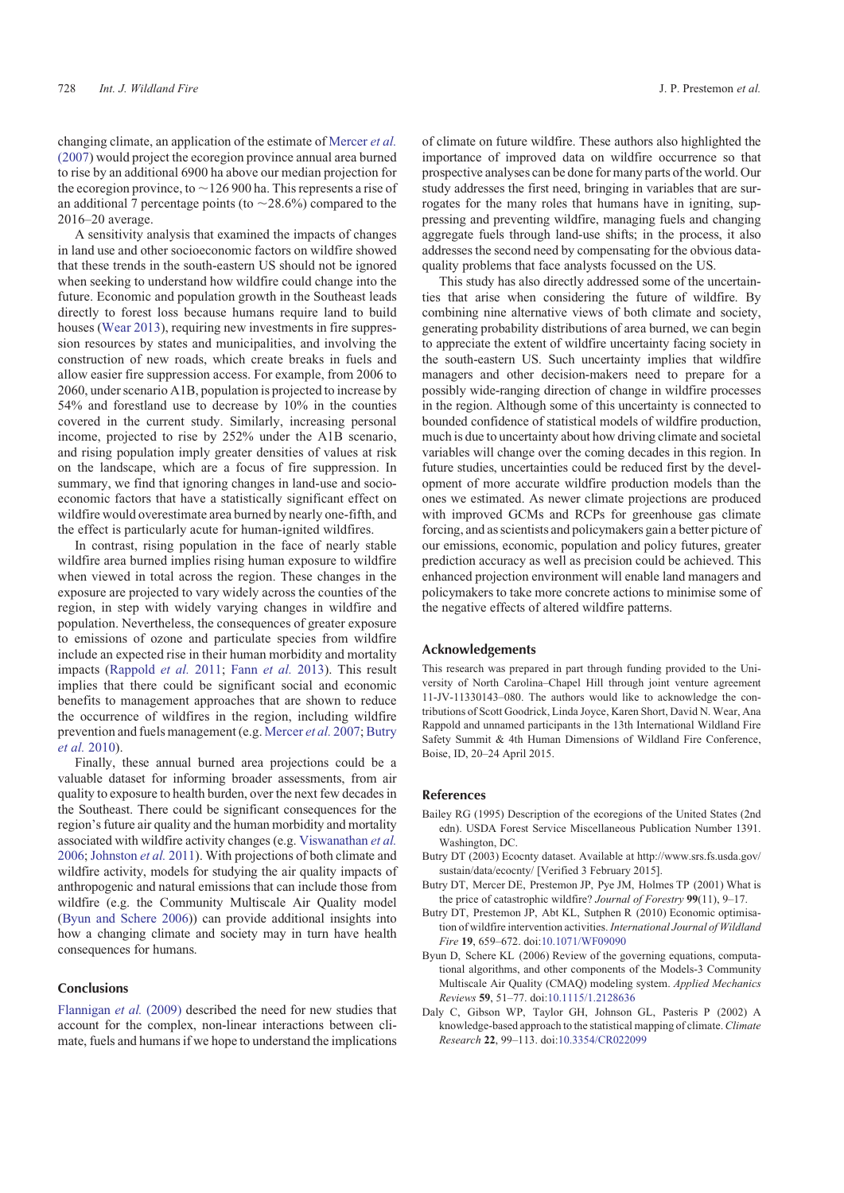<span id="page-13-0"></span>A sensitivity analysis that examined the impacts of changes in land use and other socioeconomic factors on wildfire showed that these trends in the south-eastern US should not be ignored when seeking to understand how wildfire could change into the future. Economic and population growth in the Southeast leads directly to forest loss because humans require land to build houses ([Wear 2013](#page-14-0)), requiring new investments in fire suppression resources by states and municipalities, and involving the construction of new roads, which create breaks in fuels and allow easier fire suppression access. For example, from 2006 to 2060, under scenario A1B, population is projected to increase by 54% and forestland use to decrease by 10% in the counties covered in the current study. Similarly, increasing personal income, projected to rise by 252% under the A1B scenario, and rising population imply greater densities of values at risk on the landscape, which are a focus of fire suppression. In summary, we find that ignoring changes in land-use and socioeconomic factors that have a statistically significant effect on wildfire would overestimate area burned by nearly one-fifth, and the effect is particularly acute for human-ignited wildfires.

In contrast, rising population in the face of nearly stable wildfire area burned implies rising human exposure to wildfire when viewed in total across the region. These changes in the exposure are projected to vary widely across the counties of the region, in step with widely varying changes in wildfire and population. Nevertheless, the consequences of greater exposure to emissions of ozone and particulate species from wildfire include an expected rise in their human morbidity and mortality impacts [\(Rappold](#page-14-0) *et al.* 2011; Fann *[et al.](#page-14-0)* 2013). This result implies that there could be significant social and economic benefits to management approaches that are shown to reduce the occurrence of wildfires in the region, including wildfire prevention and fuels management (e.g. [Mercer](#page-14-0) *et al.* 2007; Butry *et al.* 2010).

Finally, these annual burned area projections could be a valuable dataset for informing broader assessments, from air quality to exposure to health burden, over the next few decades in the Southeast. There could be significant consequences for the region's future air quality and the human morbidity and mortality associated with wildfire activity changes (e.g. [Viswanathan](#page-14-0) *et al.* [2006](#page-14-0); [Johnston](#page-14-0) *et al.* 2011). With projections of both climate and wildfire activity, models for studying the air quality impacts of anthropogenic and natural emissions that can include those from wildfire (e.g. the Community Multiscale Air Quality model (Byun and Schere 2006)) can provide additional insights into how a changing climate and society may in turn have health consequences for humans.

### Conclusions

[Flannigan](#page-14-0) *et al.* (2009) described the need for new studies that account for the complex, non-linear interactions between climate, fuels and humans if we hope to understand the implications of climate on future wildfire. These authors also highlighted the importance of improved data on wildfire occurrence so that prospective analyses can be done for many parts of the world. Our study addresses the first need, bringing in variables that are surrogates for the many roles that humans have in igniting, suppressing and preventing wildfire, managing fuels and changing aggregate fuels through land-use shifts; in the process, it also addresses the second need by compensating for the obvious dataquality problems that face analysts focussed on the US.

This study has also directly addressed some of the uncertainties that arise when considering the future of wildfire. By combining nine alternative views of both climate and society, generating probability distributions of area burned, we can begin to appreciate the extent of wildfire uncertainty facing society in the south-eastern US. Such uncertainty implies that wildfire managers and other decision-makers need to prepare for a possibly wide-ranging direction of change in wildfire processes in the region. Although some of this uncertainty is connected to bounded confidence of statistical models of wildfire production, much is due to uncertainty about how driving climate and societal variables will change over the coming decades in this region. In future studies, uncertainties could be reduced first by the development of more accurate wildfire production models than the ones we estimated. As newer climate projections are produced with improved GCMs and RCPs for greenhouse gas climate forcing, and as scientists and policymakers gain a better picture of our emissions, economic, population and policy futures, greater prediction accuracy as well as precision could be achieved. This enhanced projection environment will enable land managers and policymakers to take more concrete actions to minimise some of the negative effects of altered wildfire patterns.

#### Acknowledgements

This research was prepared in part through funding provided to the University of North Carolina–Chapel Hill through joint venture agreement 11-JV-11330143–080. The authors would like to acknowledge the contributions of Scott Goodrick, Linda Joyce, Karen Short, David N. Wear, Ana Rappold and unnamed participants in the 13th International Wildland Fire Safety Summit & 4th Human Dimensions of Wildland Fire Conference, Boise, ID, 20–24 April 2015.

## References

- Bailey RG (1995) Description of the ecoregions of the United States (2nd edn). USDA Forest Service Miscellaneous Publication Number 1391. Washington, DC.
- Butry DT (2003) Ecocnty dataset. Available at [http://www.srs.fs.usda.gov/](http://www.srs.fs.usda.gov/sustain/data/ecocnty/) [sustain/data/ecocnty/](http://www.srs.fs.usda.gov/sustain/data/ecocnty/) [Verified 3 February 2015].
- Butry DT, Mercer DE, Prestemon JP, Pye JM, Holmes TP (2001) What is the price of catastrophic wildfire? *Journal of Forestry* **99**(11), 9–17.
- Butry DT, Prestemon JP, Abt KL, Sutphen R (2010) Economic optimisation of wildfire intervention activities. *International Journal of Wildland Fire* **19**, 659–672. doi:[10.1071/WF09090](http://dx.doi.org/10.1071/WF09090)
- Byun D, Schere KL (2006) Review of the governing equations, computational algorithms, and other components of the Models-3 Community Multiscale Air Quality (CMAQ) modeling system. *Applied Mechanics Reviews* **59**, 51–77. doi[:10.1115/1.2128636](http://dx.doi.org/10.1115/1.2128636)
- Daly C, Gibson WP, Taylor GH, Johnson GL, Pasteris P (2002) A knowledge-based approach to the statistical mapping of climate.*Climate Research* **22**, 99–113. doi:[10.3354/CR022099](http://dx.doi.org/10.3354/CR022099)